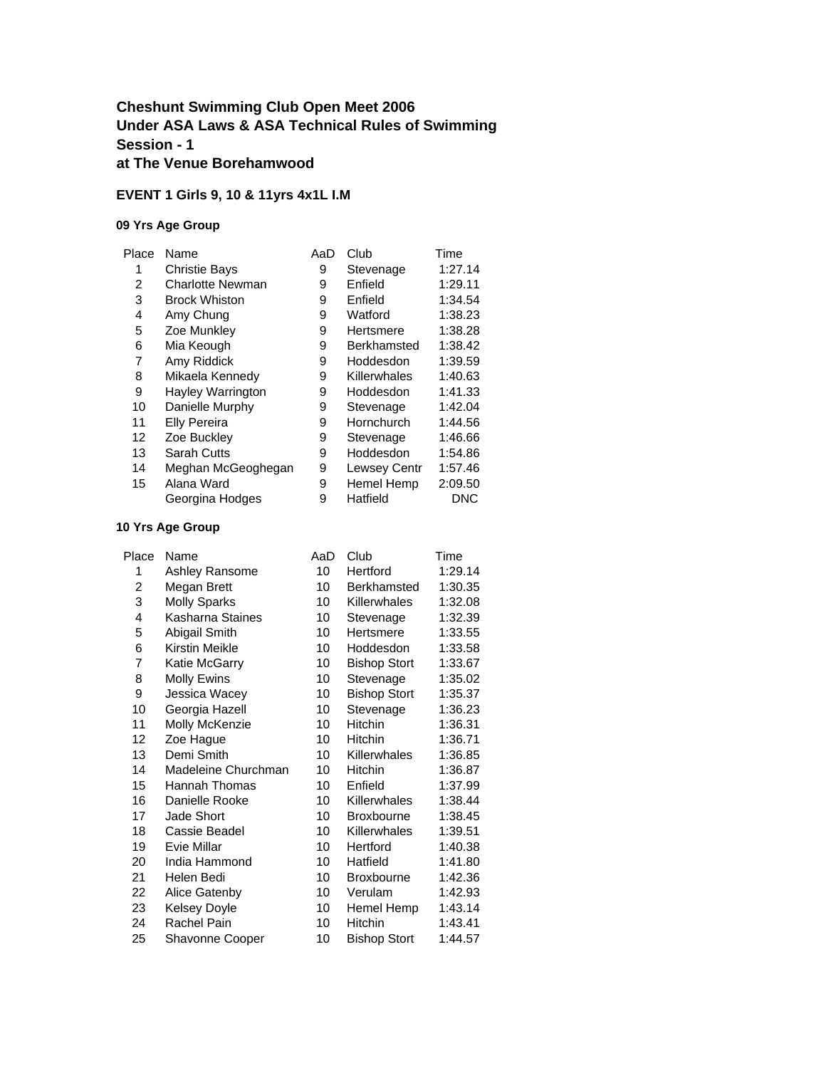### **Cheshunt Swimming Club Open Meet 2006 Under ASA Laws & ASA Technical Rules of Swimming Session - 1 at The Venue Borehamwood**

## **EVENT 1 Girls 9, 10 & 11yrs 4x1L I.M**

#### **09 Yrs Age Group**

| Place | Name                    | AaD | Club                | Time    |
|-------|-------------------------|-----|---------------------|---------|
| 1     | <b>Christie Bays</b>    | 9   | Stevenage           | 1:27.14 |
| 2     | <b>Charlotte Newman</b> | 9   | Enfield             | 1:29.11 |
| 3     | <b>Brock Whiston</b>    | 9   | Enfield             | 1:34.54 |
| 4     | Amy Chung               | 9   | Watford             | 1:38.23 |
| 5     | Zoe Munkley             | 9   | Hertsmere           | 1:38.28 |
| 6     | Mia Keough              | 9   | <b>Berkhamsted</b>  | 1:38.42 |
| 7     | Amy Riddick             | 9   | Hoddesdon           | 1:39.59 |
| 8     | Mikaela Kennedy         | 9   | Killerwhales        | 1:40.63 |
| 9     | Hayley Warrington       | 9   | Hoddesdon           | 1:41.33 |
| 10    | Danielle Murphy         | 9   | Stevenage           | 1:42.04 |
| 11    | <b>Elly Pereira</b>     | 9   | Hornchurch          | 1:44.56 |
| 12    | Zoe Buckley             | 9   | Stevenage           | 1:46.66 |
| 13    | Sarah Cutts             | 9   | Hoddesdon           | 1:54.86 |
| 14    | Meghan McGeoghegan      | 9   | <b>Lewsey Centr</b> | 1:57.46 |
| 15    | Alana Ward              | 9   | Hemel Hemp          | 2:09.50 |
|       | Georgina Hodges         | 9   | Hatfield            | DNC     |
|       |                         |     |                     |         |

| Place | Name                | AaD | Club                | Time    |
|-------|---------------------|-----|---------------------|---------|
| 1     | Ashley Ransome      | 10  | Hertford            | 1:29.14 |
| 2     | Megan Brett         | 10  | Berkhamsted         | 1:30.35 |
| 3     | <b>Molly Sparks</b> | 10  | Killerwhales        | 1:32.08 |
| 4     | Kasharna Staines    | 10  | Stevenage           | 1:32.39 |
| 5     | Abigail Smith       | 10  | Hertsmere           | 1:33.55 |
| 6     | Kirstin Meikle      | 10  | Hoddesdon           | 1:33.58 |
| 7     | Katie McGarry       | 10  | <b>Bishop Stort</b> | 1:33.67 |
| 8     | Molly Ewins         | 10  | Stevenage           | 1:35.02 |
| 9     | Jessica Wacey       | 10  | <b>Bishop Stort</b> | 1:35.37 |
| 10    | Georgia Hazell      | 10  | Stevenage           | 1:36.23 |
| 11    | Molly McKenzie      | 10  | Hitchin             | 1:36.31 |
| 12    | Zoe Hague           | 10  | <b>Hitchin</b>      | 1:36.71 |
| 13    | Demi Smith          | 10  | Killerwhales        | 1:36.85 |
| 14    | Madeleine Churchman | 10  | <b>Hitchin</b>      | 1:36.87 |
| 15    | Hannah Thomas       | 10  | Enfield             | 1:37.99 |
| 16    | Danielle Rooke      | 10  | Killerwhales        | 1:38.44 |
| 17    | Jade Short          | 10  | <b>Broxbourne</b>   | 1:38.45 |
| 18    | Cassie Beadel       | 10  | Killerwhales        | 1:39.51 |
| 19    | Evie Millar         | 10  | Hertford            | 1:40.38 |
| 20    | India Hammond       | 10  | Hatfield            | 1:41.80 |
| 21    | Helen Bedi          | 10  | <b>Broxbourne</b>   | 1:42.36 |
| 22    | Alice Gatenby       | 10  | Verulam             | 1:42.93 |
| 23    | Kelsey Doyle        | 10  | Hemel Hemp          | 1:43.14 |
| 24    | Rachel Pain         | 10  | <b>Hitchin</b>      | 1:43.41 |
| 25    | Shavonne Cooper     | 10  | <b>Bishop Stort</b> | 1:44.57 |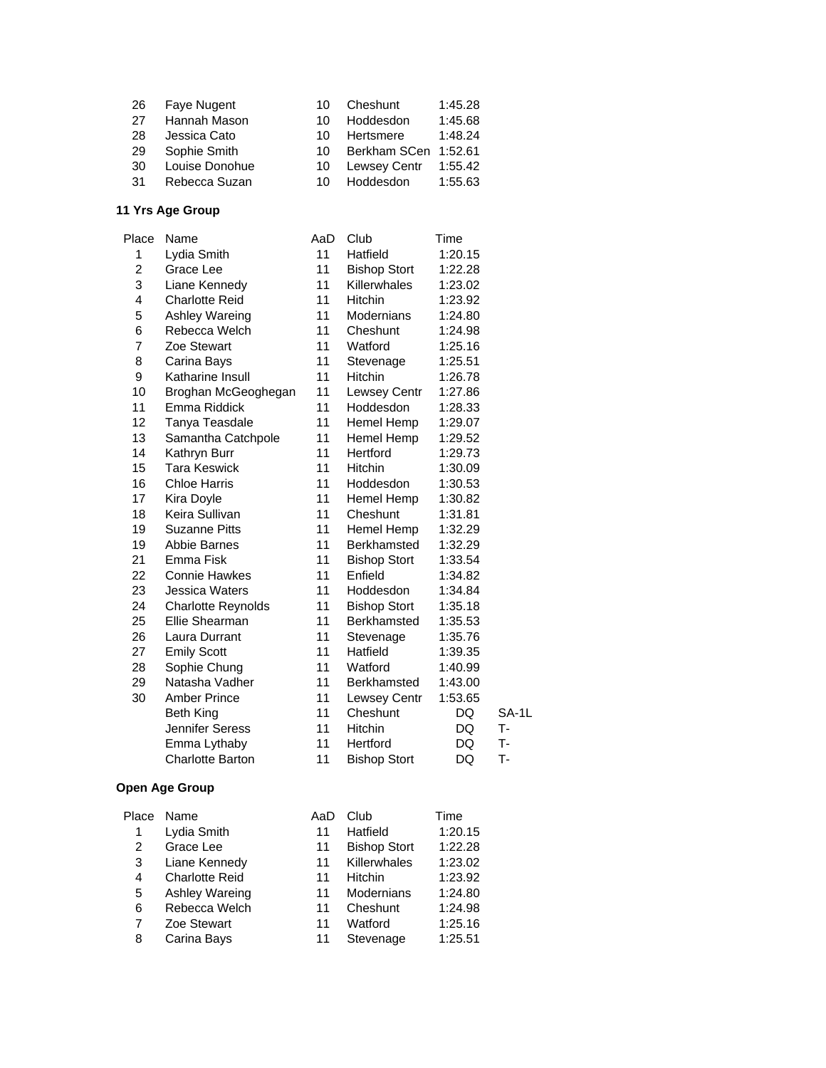| 26 | Faye Nugent    | 10 | Cheshunt             | 1:45.28 |
|----|----------------|----|----------------------|---------|
| 27 | Hannah Mason   | 10 | Hoddesdon            | 1:45.68 |
| 28 | Jessica Cato   | 10 | Hertsmere            | 1:48.24 |
| 29 | Sophie Smith   | 10 | Berkham SCen 1:52.61 |         |
| 30 | Louise Donohue | 10 | <b>Lewsey Centr</b>  | 1:55.42 |
| 31 | Rebecca Suzan  | 10 | Hoddesdon            | 1:55.63 |

| Place                   | Name                      | AaD | Club                | Time    |       |
|-------------------------|---------------------------|-----|---------------------|---------|-------|
| 1                       | Lydia Smith               | 11  | Hatfield            | 1:20.15 |       |
| $\overline{\mathbf{c}}$ | Grace Lee                 | 11  | <b>Bishop Stort</b> | 1:22.28 |       |
| 3                       | Liane Kennedy             | 11  | Killerwhales        | 1:23.02 |       |
| 4                       | <b>Charlotte Reid</b>     | 11  | Hitchin             | 1:23.92 |       |
| 5                       | Ashley Wareing            | 11  | Modernians          | 1:24.80 |       |
| 6                       | Rebecca Welch             | 11  | Cheshunt            | 1:24.98 |       |
| 7                       | Zoe Stewart               | 11  | Watford             | 1:25.16 |       |
| 8                       | Carina Bays               | 11  | Stevenage           | 1:25.51 |       |
| 9                       | Katharine Insull          | 11  | Hitchin             | 1:26.78 |       |
| 10                      | Broghan McGeoghegan       | 11  | Lewsey Centr        | 1:27.86 |       |
| 11                      | Emma Riddick              | 11  | Hoddesdon           | 1:28.33 |       |
| 12                      | Tanya Teasdale            | 11  | Hemel Hemp          | 1:29.07 |       |
| 13                      | Samantha Catchpole        | 11  | Hemel Hemp          | 1:29.52 |       |
| 14                      | Kathryn Burr              | 11  | Hertford            | 1:29.73 |       |
| 15                      | <b>Tara Keswick</b>       | 11  | Hitchin             | 1:30.09 |       |
| 16                      | <b>Chloe Harris</b>       | 11  | Hoddesdon           | 1:30.53 |       |
| 17                      | Kira Doyle                | 11  | Hemel Hemp          | 1:30.82 |       |
| 18                      | Keira Sullivan            | 11  | Cheshunt            | 1:31.81 |       |
| 19                      | <b>Suzanne Pitts</b>      | 11  | Hemel Hemp          | 1:32.29 |       |
| 19                      | <b>Abbie Barnes</b>       | 11  | Berkhamsted         | 1:32.29 |       |
| 21                      | Emma Fisk                 | 11  | <b>Bishop Stort</b> | 1:33.54 |       |
| 22                      | <b>Connie Hawkes</b>      | 11  | Enfield             | 1:34.82 |       |
| 23                      | Jessica Waters            | 11  | Hoddesdon           | 1:34.84 |       |
| 24                      | <b>Charlotte Reynolds</b> | 11  | <b>Bishop Stort</b> | 1:35.18 |       |
| 25                      | Ellie Shearman            | 11  | Berkhamsted         | 1:35.53 |       |
| 26                      | Laura Durrant             | 11  | Stevenage           | 1:35.76 |       |
| 27                      | <b>Emily Scott</b>        | 11  | Hatfield            | 1:39.35 |       |
| 28                      | Sophie Chung              | 11  | Watford             | 1:40.99 |       |
| 29                      | Natasha Vadher            | 11  | Berkhamsted         | 1:43.00 |       |
| 30                      | <b>Amber Prince</b>       | 11  | Lewsey Centr        | 1:53.65 |       |
|                         | Beth King                 | 11  | Cheshunt            | DQ      | SA-1L |
|                         | Jennifer Seress           | 11  | <b>Hitchin</b>      | DQ      | T-    |
|                         | Emma Lythaby              | 11  | Hertford            | DQ      | T-    |
|                         | Charlotte Barton          | 11  | <b>Bishop Stort</b> | DQ      | T-    |
|                         |                           |     |                     |         |       |

| Place | Name                  | AaD | Club                | Time    |
|-------|-----------------------|-----|---------------------|---------|
|       | Lydia Smith           | 11  | Hatfield            | 1:20.15 |
| 2     | Grace Lee             | 11  | <b>Bishop Stort</b> | 1:22.28 |
| 3     | Liane Kennedy         | 11  | Killerwhales        | 1:23.02 |
| 4     | <b>Charlotte Reid</b> | 11  | Hitchin             | 1:23.92 |
| 5     | Ashley Wareing        | 11  | Modernians          | 1:24.80 |
| 6     | Rebecca Welch         | 11  | Cheshunt            | 1:24.98 |
| 7     | Zoe Stewart           | 11  | Watford             | 1:25.16 |
| 8     | Carina Bays           | 11  | Stevenage           | 1:25.51 |
|       |                       |     |                     |         |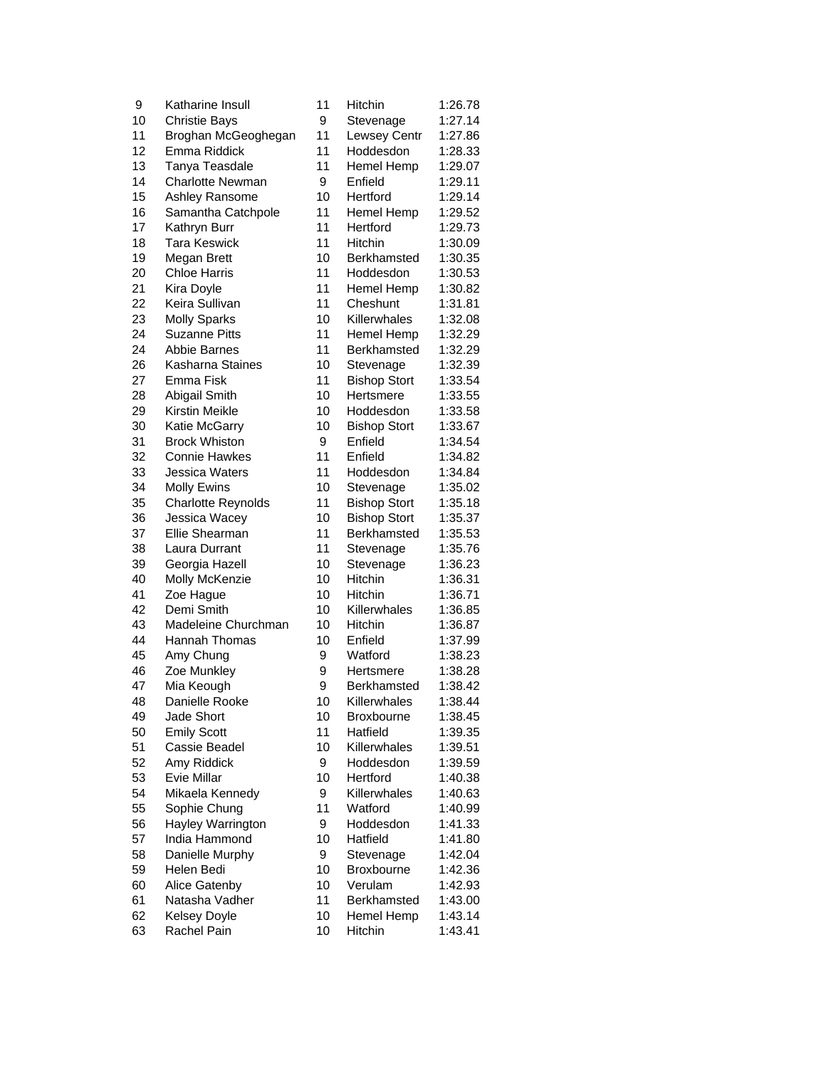| 9  | Katharine Insull        | 11 | Hitchin             | 1:26.78 |
|----|-------------------------|----|---------------------|---------|
| 10 | <b>Christie Bays</b>    | 9  | Stevenage           | 1:27.14 |
| 11 | Broghan McGeoghegan     | 11 | Lewsey Centr        | 1:27.86 |
| 12 | Emma Riddick            | 11 | Hoddesdon           | 1:28.33 |
| 13 | Tanya Teasdale          | 11 | Hemel Hemp          | 1:29.07 |
| 14 | <b>Charlotte Newman</b> | 9  | Enfield             | 1:29.11 |
| 15 | <b>Ashley Ransome</b>   | 10 | Hertford            | 1:29.14 |
| 16 | Samantha Catchpole      | 11 | Hemel Hemp          | 1:29.52 |
| 17 | Kathryn Burr            | 11 | Hertford            | 1:29.73 |
| 18 | <b>Tara Keswick</b>     | 11 | <b>Hitchin</b>      | 1:30.09 |
| 19 | Megan Brett             | 10 | Berkhamsted         | 1:30.35 |
| 20 | <b>Chloe Harris</b>     | 11 | Hoddesdon           | 1:30.53 |
| 21 | Kira Doyle              | 11 | Hemel Hemp          | 1:30.82 |
| 22 | Keira Sullivan          | 11 | Cheshunt            | 1:31.81 |
| 23 | <b>Molly Sparks</b>     | 10 | Killerwhales        | 1:32.08 |
| 24 | <b>Suzanne Pitts</b>    | 11 | Hemel Hemp          | 1:32.29 |
| 24 | Abbie Barnes            | 11 | <b>Berkhamsted</b>  | 1:32.29 |
| 26 | Kasharna Staines        | 10 | Stevenage           | 1:32.39 |
| 27 | Emma Fisk               | 11 | <b>Bishop Stort</b> | 1:33.54 |
| 28 | Abigail Smith           | 10 | Hertsmere           | 1:33.55 |
| 29 | Kirstin Meikle          | 10 | Hoddesdon           | 1:33.58 |
| 30 | Katie McGarry           | 10 | <b>Bishop Stort</b> | 1:33.67 |
| 31 | <b>Brock Whiston</b>    | 9  | Enfield             | 1:34.54 |
| 32 | <b>Connie Hawkes</b>    | 11 | Enfield             | 1:34.82 |
| 33 | Jessica Waters          | 11 | Hoddesdon           | 1:34.84 |
| 34 | <b>Molly Ewins</b>      | 10 | Stevenage           | 1:35.02 |
| 35 | Charlotte Reynolds      | 11 | <b>Bishop Stort</b> | 1:35.18 |
| 36 | Jessica Wacey           | 10 | <b>Bishop Stort</b> | 1:35.37 |
| 37 | <b>Ellie Shearman</b>   | 11 | Berkhamsted         | 1:35.53 |
| 38 | Laura Durrant           | 11 | Stevenage           | 1:35.76 |
| 39 | Georgia Hazell          | 10 | Stevenage           | 1:36.23 |
| 40 | Molly McKenzie          | 10 | Hitchin             | 1:36.31 |
| 41 | Zoe Hague               | 10 | Hitchin             | 1:36.71 |
| 42 | Demi Smith              | 10 | Killerwhales        | 1:36.85 |
| 43 | Madeleine Churchman     | 10 | <b>Hitchin</b>      | 1:36.87 |
| 44 | <b>Hannah Thomas</b>    | 10 | Enfield             | 1:37.99 |
| 45 | Amy Chung               | 9  | Watford             | 1:38.23 |
| 46 | Zoe Munkley             | 9  | Hertsmere           | 1:38.28 |
| 47 | Mia Keough              | 9  | Berkhamsted         | 1:38.42 |
| 48 | Danielle Rooke          | 10 | Killerwhales        | 1:38.44 |
| 49 | Jade Short              | 10 | <b>Broxbourne</b>   | 1:38.45 |
| 50 | <b>Emily Scott</b>      | 11 | Hatfield            | 1:39.35 |
| 51 | Cassie Beadel           | 10 | Killerwhales        | 1:39.51 |
| 52 | Amy Riddick             | 9  | Hoddesdon           | 1:39.59 |
| 53 | <b>Evie Millar</b>      | 10 | Hertford            | 1:40.38 |
| 54 | Mikaela Kennedy         | 9  | Killerwhales        | 1:40.63 |
| 55 | Sophie Chung            | 11 | Watford             | 1:40.99 |
| 56 | Hayley Warrington       | 9  | Hoddesdon           | 1:41.33 |
| 57 | India Hammond           | 10 | Hatfield            | 1:41.80 |
| 58 | Danielle Murphy         | 9  | Stevenage           | 1:42.04 |
| 59 | Helen Bedi              | 10 | <b>Broxbourne</b>   | 1:42.36 |
| 60 | Alice Gatenby           | 10 | Verulam             | 1:42.93 |
| 61 | Natasha Vadher          | 11 | Berkhamsted         | 1:43.00 |
| 62 | Kelsey Doyle            | 10 | Hemel Hemp          | 1:43.14 |
| 63 | Rachel Pain             | 10 | Hitchin             | 1:43.41 |
|    |                         |    |                     |         |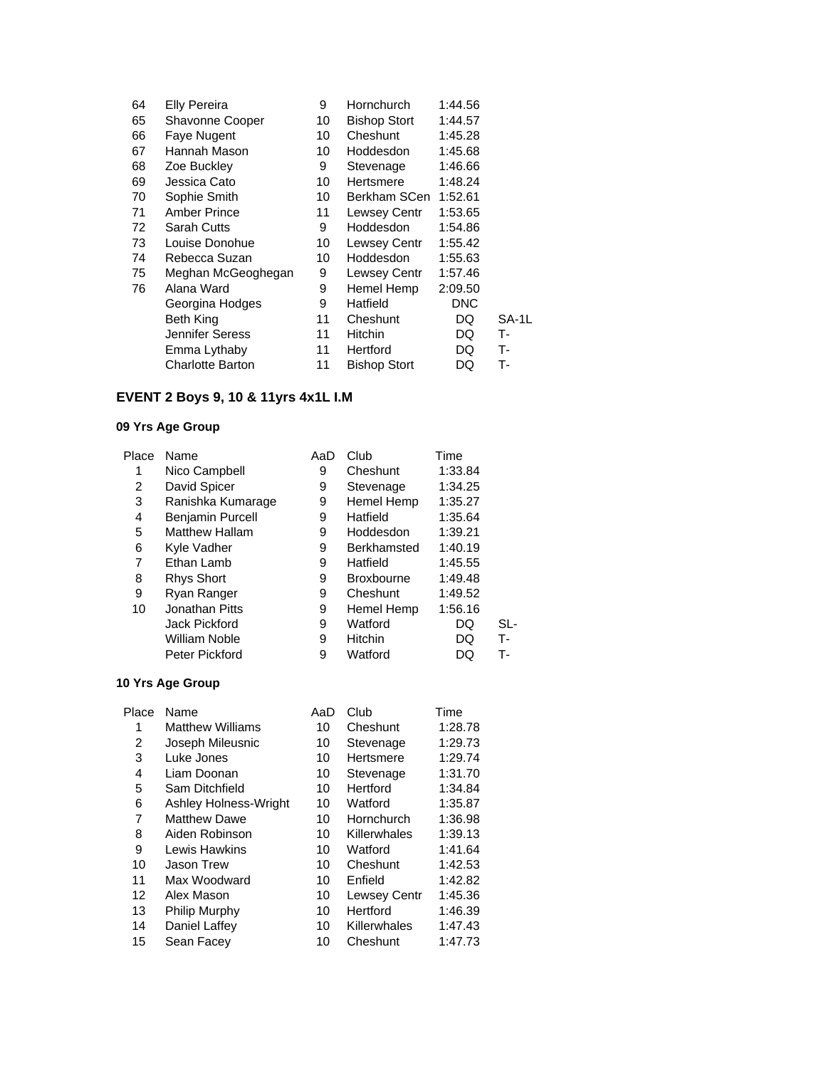| 64 | <b>Elly Pereira</b>     | 9  | Hornchurch          | 1:44.56    |       |
|----|-------------------------|----|---------------------|------------|-------|
| 65 | <b>Shavonne Cooper</b>  | 10 | <b>Bishop Stort</b> | 1:44.57    |       |
| 66 | Faye Nugent             | 10 | Cheshunt            | 1:45.28    |       |
| 67 | Hannah Mason            | 10 | Hoddesdon           | 1:45.68    |       |
| 68 | Zoe Buckley             | 9  | Stevenage           | 1:46.66    |       |
| 69 | Jessica Cato            | 10 | Hertsmere           | 1:48.24    |       |
| 70 | Sophie Smith            | 10 | Berkham SCen        | 1:52.61    |       |
| 71 | Amber Prince            | 11 | Lewsey Centr        | 1:53.65    |       |
| 72 | Sarah Cutts             | 9  | Hoddesdon           | 1:54.86    |       |
| 73 | Louise Donohue          | 10 | Lewsey Centr        | 1:55.42    |       |
| 74 | Rebecca Suzan           | 10 | Hoddesdon           | 1:55.63    |       |
| 75 | Meghan McGeoghegan      | 9  | <b>Lewsey Centr</b> | 1:57.46    |       |
| 76 | Alana Ward              | 9  | Hemel Hemp          | 2:09.50    |       |
|    | Georgina Hodges         | 9  | Hatfield            | <b>DNC</b> |       |
|    | Beth King               | 11 | Cheshunt            | DQ         | SA-1L |
|    | Jennifer Seress         | 11 | <b>Hitchin</b>      | DQ         | т-    |
|    | Emma Lythaby            | 11 | Hertford            | DQ         | т-    |
|    | <b>Charlotte Barton</b> | 11 | <b>Bishop Stort</b> | DQ         | т.    |

# **EVENT 2 Boys 9, 10 & 11yrs 4x1L I.M**

## **09 Yrs Age Group**

| Place | Name                    | AaD | Club              | Time    |     |
|-------|-------------------------|-----|-------------------|---------|-----|
| 1     | Nico Campbell           | 9   | Cheshunt          | 1:33.84 |     |
| 2     | David Spicer            | 9   | Stevenage         | 1:34.25 |     |
| 3     | Ranishka Kumarage       | 9   | Hemel Hemp        | 1:35.27 |     |
| 4     | <b>Benjamin Purcell</b> | 9   | Hatfield          | 1:35.64 |     |
| 5     | <b>Matthew Hallam</b>   | 9   | Hoddesdon         | 1:39.21 |     |
| 6     | Kyle Vadher             | 9   | Berkhamsted       | 1:40.19 |     |
| 7     | Ethan Lamb              | 9   | Hatfield          | 1:45.55 |     |
| 8     | <b>Rhys Short</b>       | 9   | <b>Broxbourne</b> | 1:49.48 |     |
| 9     | Ryan Ranger             | 9   | Cheshunt          | 1:49.52 |     |
| 10    | Jonathan Pitts          | 9   | Hemel Hemp        | 1:56.16 |     |
|       | Jack Pickford           | 9   | Watford           | DQ      | SL- |
|       | William Noble           | 9   | <b>Hitchin</b>    | DQ      | т.  |
|       | Peter Pickford          | 9   | Watford           | DQ      | т-  |

| Place | Name                    | AaD | Club         | Time    |
|-------|-------------------------|-----|--------------|---------|
| 1     | <b>Matthew Williams</b> | 10  | Cheshunt     | 1:28.78 |
| 2     | Joseph Mileusnic        | 10  | Stevenage    | 1:29.73 |
| 3     | Luke Jones              | 10  | Hertsmere    | 1:29.74 |
| 4     | Liam Doonan             | 10  | Stevenage    | 1:31.70 |
| 5     | Sam Ditchfield          | 10  | Hertford     | 1:34.84 |
| 6     | Ashley Holness-Wright   | 10  | Watford      | 1:35.87 |
| 7     | <b>Matthew Dawe</b>     | 10  | Hornchurch   | 1:36.98 |
| 8     | Aiden Robinson          | 10  | Killerwhales | 1:39.13 |
| 9     | Lewis Hawkins           | 10  | Watford      | 1:41.64 |
| 10    | Jason Trew              | 10  | Cheshunt     | 1:42.53 |
| 11    | Max Woodward            | 10  | Enfield      | 1:42.82 |
| 12    | Alex Mason              | 10  | Lewsey Centr | 1:45.36 |
| 13    | <b>Philip Murphy</b>    | 10  | Hertford     | 1:46.39 |
| 14    | Daniel Laffey           | 10  | Killerwhales | 1:47.43 |
| 15    | Sean Facey              | 10  | Cheshunt     | 1:47.73 |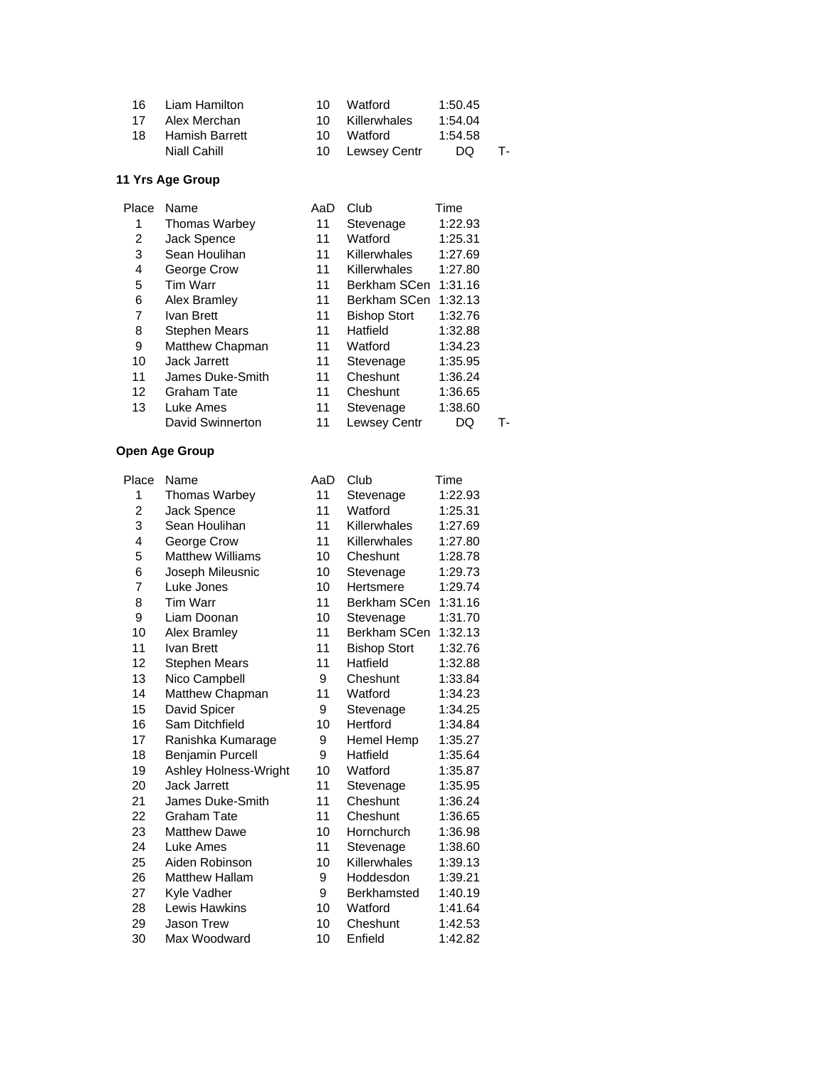| 16. | Liam Hamilton         | 10. | Watford         | 1:50.45 |    |
|-----|-----------------------|-----|-----------------|---------|----|
| 17  | Alex Merchan          |     | 10 Killerwhales | 1:54.04 |    |
| 18  | <b>Hamish Barrett</b> | 10. | Watford         | 1:54.58 |    |
|     | Niall Cahill          |     | 10 Lewsey Centr | DQ      | т- |

| Place             | Name                 | AaD | Club                | Time    |    |
|-------------------|----------------------|-----|---------------------|---------|----|
| 1                 | <b>Thomas Warbey</b> | 11  | Stevenage           | 1:22.93 |    |
| 2                 | Jack Spence          | 11  | Watford             | 1:25.31 |    |
| 3                 | Sean Houlihan        | 11  | Killerwhales        | 1:27.69 |    |
| 4                 | George Crow          | 11  | Killerwhales        | 1:27.80 |    |
| 5                 | Tim Warr             | 11  | Berkham SCen        | 1:31.16 |    |
| 6                 | Alex Bramley         | 11  | Berkham SCen        | 1:32.13 |    |
| 7                 | Ivan Brett           | 11  | <b>Bishop Stort</b> | 1:32.76 |    |
| 8                 | <b>Stephen Mears</b> | 11  | Hatfield            | 1:32.88 |    |
| 9                 | Matthew Chapman      | 11  | Watford             | 1:34.23 |    |
| 10                | <b>Jack Jarrett</b>  | 11  | Stevenage           | 1:35.95 |    |
| 11                | James Duke-Smith     | 11  | Cheshunt            | 1:36.24 |    |
| $12 \overline{ }$ | Graham Tate          | 11  | Cheshunt            | 1:36.65 |    |
| 13                | Luke Ames            | 11  | Stevenage           | 1:38.60 |    |
|                   | David Swinnerton     | 11  | <b>Lewsey Centr</b> | DQ      | т. |
|                   |                      |     |                     |         |    |

| Place | Name                    | AaD | Club                | Time    |
|-------|-------------------------|-----|---------------------|---------|
| 1     | <b>Thomas Warbey</b>    | 11  | Stevenage           | 1:22.93 |
| 2     | Jack Spence             | 11  | Watford             | 1:25.31 |
| 3     | Sean Houlihan           | 11  | Killerwhales        | 1:27.69 |
| 4     | George Crow             | 11  | Killerwhales        | 1:27.80 |
| 5     | <b>Matthew Williams</b> | 10  | Cheshunt            | 1:28.78 |
| 6     | Joseph Mileusnic        | 10  | Stevenage           | 1:29.73 |
| 7     | Luke Jones              | 10  | Hertsmere           | 1:29.74 |
| 8     | Tim Warr                | 11  | Berkham SCen        | 1:31.16 |
| 9     | Liam Doonan             | 10  | Stevenage           | 1:31.70 |
| 10    | Alex Bramley            | 11  | Berkham SCen        | 1:32.13 |
| 11    | Ivan Brett              | 11  | <b>Bishop Stort</b> | 1:32.76 |
| 12    | <b>Stephen Mears</b>    | 11  | Hatfield            | 1:32.88 |
| 13    | Nico Campbell           | 9   | Cheshunt            | 1:33.84 |
| 14    | Matthew Chapman         | 11  | Watford             | 1:34.23 |
| 15    | David Spicer            | 9   | Stevenage           | 1:34.25 |
| 16    | Sam Ditchfield          | 10  | Hertford            | 1:34.84 |
| 17    | Ranishka Kumarage       | 9   | Hemel Hemp          | 1:35.27 |
| 18    | <b>Benjamin Purcell</b> | 9   | Hatfield            | 1:35.64 |
| 19    | Ashley Holness-Wright   | 10  | Watford             | 1:35.87 |
| 20    | <b>Jack Jarrett</b>     | 11  | Stevenage           | 1:35.95 |
| 21    | James Duke-Smith        | 11  | Cheshunt            | 1:36.24 |
| 22    | <b>Graham Tate</b>      | 11  | Cheshunt            | 1:36.65 |
| 23    | <b>Matthew Dawe</b>     | 10  | Hornchurch          | 1:36.98 |
| 24    | Luke Ames               | 11  | Stevenage           | 1:38.60 |
| 25    | Aiden Robinson          | 10  | Killerwhales        | 1:39.13 |
| 26    | <b>Matthew Hallam</b>   | 9   | Hoddesdon           | 1:39.21 |
| 27    | Kyle Vadher             | 9   | Berkhamsted         | 1:40.19 |
| 28    | Lewis Hawkins           | 10  | Watford             | 1:41.64 |
| 29    | <b>Jason Trew</b>       | 10  | Cheshunt            | 1:42.53 |
| 30    | Max Woodward            | 10  | Enfield             | 1:42.82 |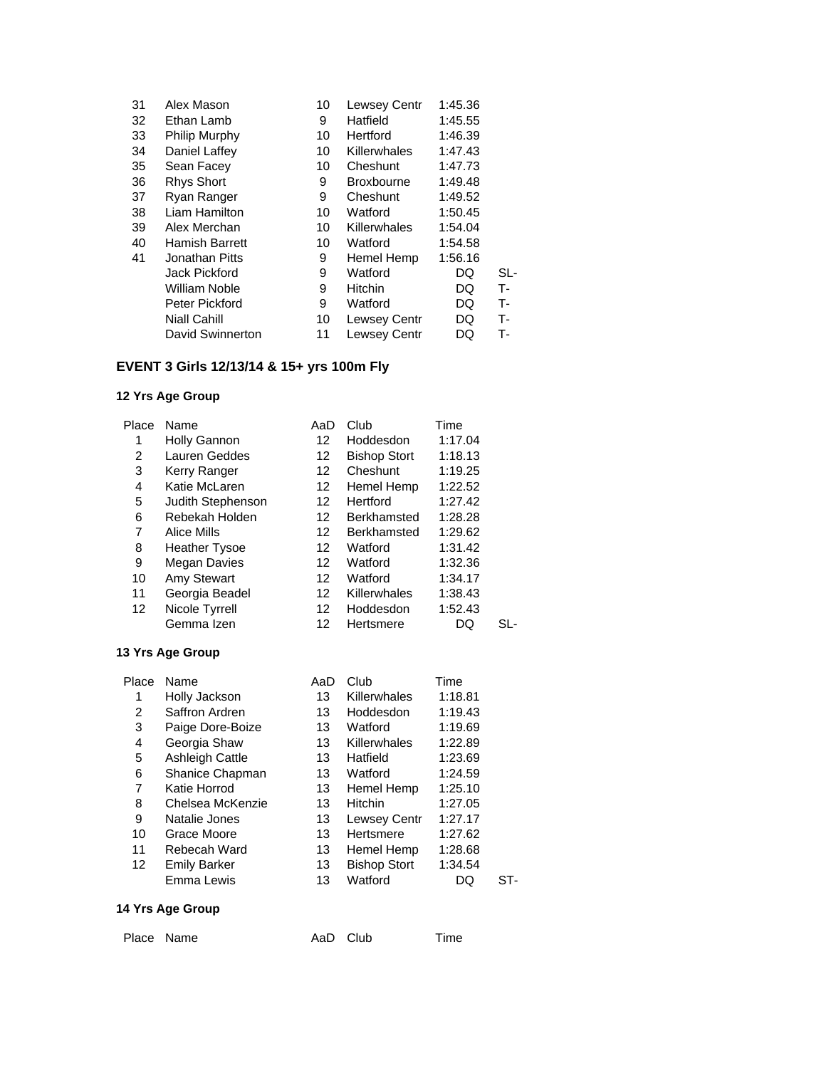| 31 | Alex Mason            | 10 | Lewsey Centr        | 1:45.36 |       |
|----|-----------------------|----|---------------------|---------|-------|
| 32 | Ethan Lamb            | 9  | Hatfield            | 1:45.55 |       |
| 33 | Philip Murphy         | 10 | Hertford            | 1:46.39 |       |
| 34 | Daniel Laffey         | 10 | Killerwhales        | 1:47.43 |       |
| 35 | Sean Facey            | 10 | Cheshunt            | 1:47.73 |       |
| 36 | <b>Rhys Short</b>     | 9  | <b>Broxbourne</b>   | 1:49.48 |       |
| 37 | Ryan Ranger           | 9  | Cheshunt            | 1:49.52 |       |
| 38 | Liam Hamilton         | 10 | Watford             | 1:50.45 |       |
| 39 | Alex Merchan          | 10 | Killerwhales        | 1:54.04 |       |
| 40 | <b>Hamish Barrett</b> | 10 | Watford             | 1:54.58 |       |
| 41 | Jonathan Pitts        | 9  | Hemel Hemp          | 1:56.16 |       |
|    | Jack Pickford         | 9  | Watford             | DQ      | SL-   |
|    | William Noble         | 9  | <b>Hitchin</b>      | DQ      | T-    |
|    | Peter Pickford        | 9  | Watford             | DQ      | $T -$ |
|    | <b>Niall Cahill</b>   | 10 | <b>Lewsey Centr</b> | DQ      | т-    |
|    | David Swinnerton      | 11 | Lewsey Centr        | DQ      | т-    |

# **EVENT 3 Girls 12/13/14 & 15+ yrs 100m Fly**

## **12 Yrs Age Group**

| Place | Name                 | AaD               | Club                | Time    |     |
|-------|----------------------|-------------------|---------------------|---------|-----|
| 1     | Holly Gannon         | 12                | Hoddesdon           | 1:17.04 |     |
| 2     | Lauren Geddes        | 12                | <b>Bishop Stort</b> | 1:18.13 |     |
| 3     | Kerry Ranger         | 12                | Cheshunt            | 1:19.25 |     |
| 4     | Katie McLaren        | 12                | Hemel Hemp          | 1:22.52 |     |
| 5     | Judith Stephenson    | 12                | Hertford            | 1:27.42 |     |
| 6     | Rebekah Holden       | 12                | <b>Berkhamsted</b>  | 1:28.28 |     |
| 7     | Alice Mills          | 12                | Berkhamsted         | 1:29.62 |     |
| 8     | <b>Heather Tysoe</b> | 12                | Watford             | 1:31.42 |     |
| 9     | Megan Davies         | 12                | Watford             | 1:32.36 |     |
| 10    | Amy Stewart          | 12                | Watford             | 1:34.17 |     |
| 11    | Georgia Beadel       | 12                | Killerwhales        | 1:38.43 |     |
| 12    | Nicole Tyrrell       | $12 \overline{ }$ | Hoddesdon           | 1:52.43 |     |
|       | Gemma Izen           | 12                | Hertsmere           | DQ      | SL- |

#### **13 Yrs Age Group**

| Place | Name                | AaD | Club                | Time    |     |
|-------|---------------------|-----|---------------------|---------|-----|
| 1     | Holly Jackson       | 13  | Killerwhales        | 1:18.81 |     |
| 2     | Saffron Ardren      | 13  | Hoddesdon           | 1:19.43 |     |
| 3     | Paige Dore-Boize    | 13  | Watford             | 1:19.69 |     |
| 4     | Georgia Shaw        | 13  | Killerwhales        | 1:22.89 |     |
| 5     | Ashleigh Cattle     | 13  | Hatfield            | 1:23.69 |     |
| 6     | Shanice Chapman     | 13  | Watford             | 1:24.59 |     |
| 7     | Katie Horrod        | 13  | Hemel Hemp          | 1:25.10 |     |
| 8     | Chelsea McKenzie    | 13  | <b>Hitchin</b>      | 1:27.05 |     |
| 9     | Natalie Jones       | 13  | Lewsey Centr        | 1:27.17 |     |
| 10    | Grace Moore         | 13  | Hertsmere           | 1:27.62 |     |
| 11    | Rebecah Ward        | 13  | Hemel Hemp          | 1:28.68 |     |
| 12    | <b>Emily Barker</b> | 13  | <b>Bishop Stort</b> | 1:34.54 |     |
|       | Emma Lewis          | 13  | Watford             | DQ      | ST- |
|       |                     |     |                     |         |     |

### **14 Yrs Age Group**

Place Name **AaD** Club Time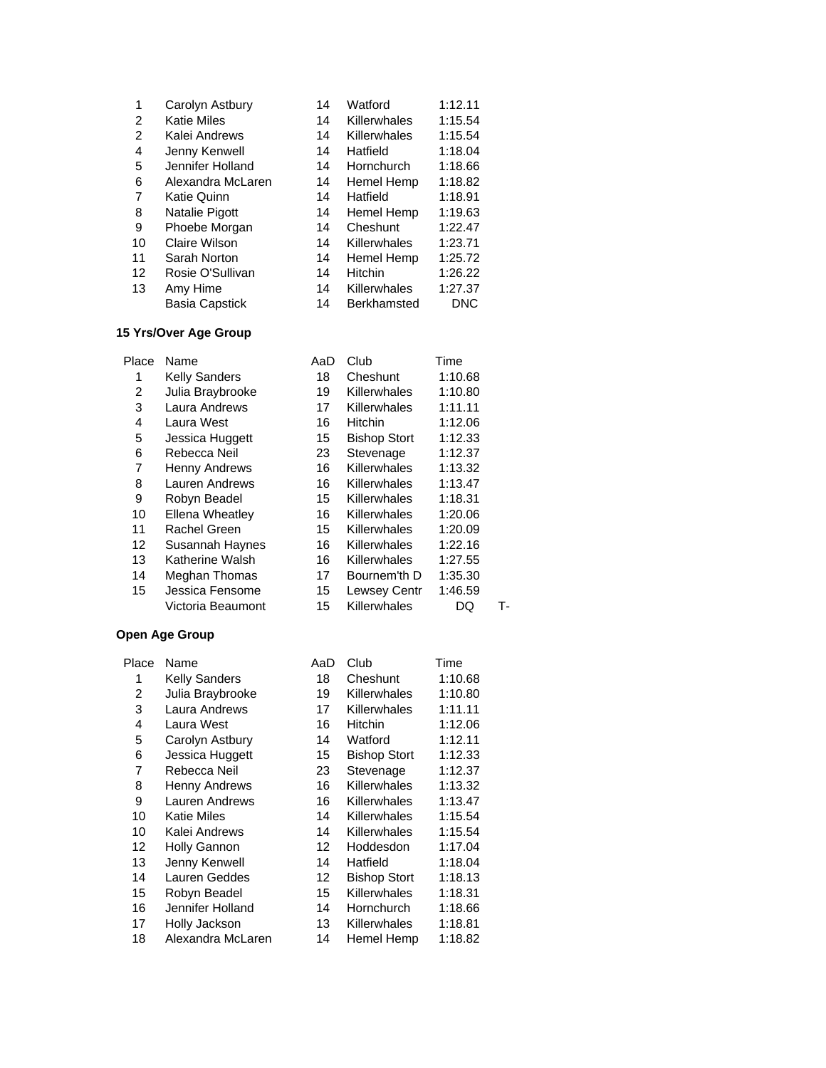| 1  | Carolyn Astbury       | 14 | Watford            | 1:12.11 |
|----|-----------------------|----|--------------------|---------|
| 2  | <b>Katie Miles</b>    | 14 | Killerwhales       | 1:15.54 |
| 2  | Kalei Andrews         | 14 | Killerwhales       | 1:15.54 |
| 4  | Jenny Kenwell         | 14 | Hatfield           | 1:18.04 |
| 5  | Jennifer Holland      | 14 | Hornchurch         | 1:18.66 |
| 6  | Alexandra McLaren     | 14 | Hemel Hemp         | 1:18.82 |
| 7  | Katie Quinn           | 14 | Hatfield           | 1:18.91 |
| 8  | Natalie Pigott        | 14 | Hemel Hemp         | 1:19.63 |
| 9  | Phoebe Morgan         | 14 | Cheshunt           | 1:22.47 |
| 10 | Claire Wilson         | 14 | Killerwhales       | 1:23.71 |
| 11 | Sarah Norton          | 14 | Hemel Hemp         | 1:25.72 |
| 12 | Rosie O'Sullivan      | 14 | Hitchin            | 1:26.22 |
| 13 | Amy Hime              | 14 | Killerwhales       | 1:27.37 |
|    | <b>Basia Capstick</b> | 14 | <b>Berkhamsted</b> | DNC     |

## **15 Yrs/Over Age Group**

| Place | Name                 | AaD | Club                | Time    |    |
|-------|----------------------|-----|---------------------|---------|----|
| 1     | <b>Kelly Sanders</b> | 18  | Cheshunt            | 1:10.68 |    |
| 2     | Julia Braybrooke     | 19  | Killerwhales        | 1:10.80 |    |
| 3     | Laura Andrews        | 17  | Killerwhales        | 1:11.11 |    |
| 4     | Laura West           | 16  | <b>Hitchin</b>      | 1:12.06 |    |
| 5     | Jessica Huggett      | 15  | <b>Bishop Stort</b> | 1:12.33 |    |
| 6     | Rebecca Neil         | 23  | Stevenage           | 1:12.37 |    |
| 7     | Henny Andrews        | 16  | Killerwhales        | 1:13.32 |    |
| 8     | Lauren Andrews       | 16  | <b>Killerwhales</b> | 1:13.47 |    |
| 9     | Robyn Beadel         | 15  | <b>Killerwhales</b> | 1:18.31 |    |
| 10    | Ellena Wheatley      | 16  | Killerwhales        | 1:20.06 |    |
| 11    | Rachel Green         | 15  | <b>Killerwhales</b> | 1:20.09 |    |
| 12    | Susannah Haynes      | 16  | <b>Killerwhales</b> | 1:22.16 |    |
| 13    | Katherine Walsh      | 16  | <b>Killerwhales</b> | 1:27.55 |    |
| 14    | Meghan Thomas        | 17  | Bournem'th D        | 1:35.30 |    |
| 15    | Jessica Fensome      | 15  | <b>Lewsey Centr</b> | 1:46.59 |    |
|       | Victoria Beaumont    | 15  | Killerwhales        | DQ      | т. |

| Place | Name                 | AaD | Club                | Time    |
|-------|----------------------|-----|---------------------|---------|
| 1     | <b>Kelly Sanders</b> | 18  | Cheshunt            | 1:10.68 |
| 2     | Julia Braybrooke     | 19  | <b>Killerwhales</b> | 1:10.80 |
| 3     | Laura Andrews        | 17  | <b>Killerwhales</b> | 1:11.11 |
| 4     | Laura West           | 16  | <b>Hitchin</b>      | 1:12.06 |
| 5     | Carolyn Astbury      | 14  | Watford             | 1:12.11 |
| 6     | Jessica Huggett      | 15  | <b>Bishop Stort</b> | 1:12.33 |
| 7     | Rebecca Neil         | 23  | Stevenage           | 1:12.37 |
| 8     | <b>Henny Andrews</b> | 16  | Killerwhales        | 1:13.32 |
| 9     | Lauren Andrews       | 16  | Killerwhales        | 1:13.47 |
| 10    | <b>Katie Miles</b>   | 14  | Killerwhales        | 1:15.54 |
| 10    | Kalei Andrews        | 14  | Killerwhales        | 1:15.54 |
| 12    | <b>Holly Gannon</b>  | 12  | Hoddesdon           | 1:17.04 |
| 13    | Jenny Kenwell        | 14  | Hatfield            | 1:18.04 |
| 14    | Lauren Geddes        | 12  | <b>Bishop Stort</b> | 1:18.13 |
| 15    | Robyn Beadel         | 15  | <b>Killerwhales</b> | 1:18.31 |
| 16    | Jennifer Holland     | 14  | <b>Hornchurch</b>   | 1:18.66 |
| 17    | Holly Jackson        | 13  | <b>Killerwhales</b> | 1:18.81 |
| 18    | Alexandra McLaren    | 14  | Hemel Hemp          | 1:18.82 |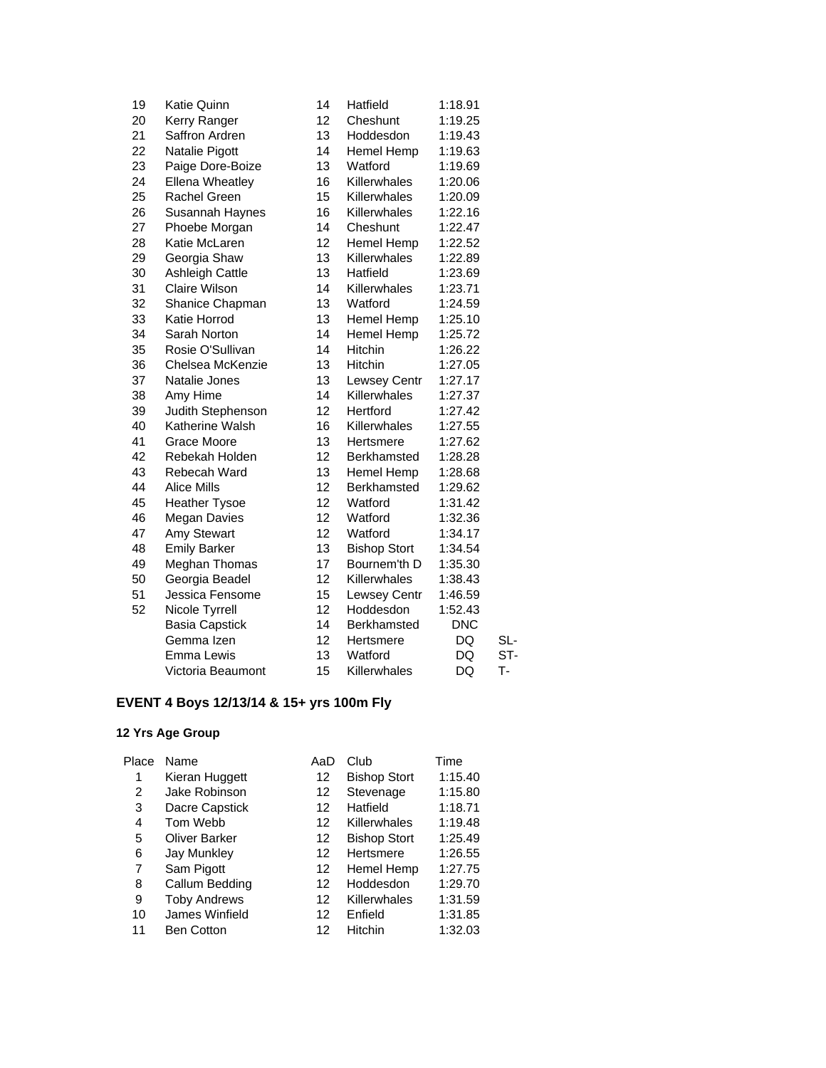| 19 | Katie Quinn            | 14 | Hatfield            | 1:18.91    |     |
|----|------------------------|----|---------------------|------------|-----|
| 20 | Kerry Ranger           | 12 | Cheshunt            | 1:19.25    |     |
| 21 | Saffron Ardren         | 13 | Hoddesdon           | 1:19.43    |     |
| 22 | Natalie Pigott         | 14 | Hemel Hemp          | 1:19.63    |     |
| 23 | Paige Dore-Boize       | 13 | Watford             | 1:19.69    |     |
| 24 | <b>Ellena Wheatley</b> | 16 | Killerwhales        | 1:20.06    |     |
| 25 | <b>Rachel Green</b>    | 15 | Killerwhales        | 1:20.09    |     |
| 26 | Susannah Haynes        | 16 | Killerwhales        | 1:22.16    |     |
| 27 | Phoebe Morgan          | 14 | Cheshunt            | 1:22.47    |     |
| 28 | Katie McLaren          | 12 | Hemel Hemp          | 1:22.52    |     |
| 29 | Georgia Shaw           | 13 | Killerwhales        | 1:22.89    |     |
| 30 | <b>Ashleigh Cattle</b> | 13 | Hatfield            | 1:23.69    |     |
| 31 | <b>Claire Wilson</b>   | 14 | Killerwhales        | 1:23.71    |     |
| 32 | Shanice Chapman        | 13 | Watford             | 1:24.59    |     |
| 33 | Katie Horrod           | 13 | Hemel Hemp          | 1:25.10    |     |
| 34 | Sarah Norton           | 14 | Hemel Hemp          | 1:25.72    |     |
| 35 | Rosie O'Sullivan       | 14 | Hitchin             | 1:26.22    |     |
| 36 | Chelsea McKenzie       | 13 | Hitchin             | 1:27.05    |     |
| 37 | Natalie Jones          | 13 | <b>Lewsey Centr</b> | 1:27.17    |     |
| 38 | Amy Hime               | 14 | Killerwhales        | 1:27.37    |     |
| 39 | Judith Stephenson      | 12 | Hertford            | 1:27.42    |     |
| 40 | Katherine Walsh        | 16 | Killerwhales        | 1:27.55    |     |
| 41 | Grace Moore            | 13 | Hertsmere           | 1:27.62    |     |
| 42 | Rebekah Holden         | 12 | Berkhamsted         | 1:28.28    |     |
| 43 | Rebecah Ward           | 13 | Hemel Hemp          | 1:28.68    |     |
| 44 | <b>Alice Mills</b>     | 12 | Berkhamsted         | 1:29.62    |     |
| 45 | <b>Heather Tysoe</b>   | 12 | Watford             | 1:31.42    |     |
| 46 | <b>Megan Davies</b>    | 12 | Watford             | 1:32.36    |     |
| 47 | Amy Stewart            | 12 | Watford             | 1:34.17    |     |
| 48 | <b>Emily Barker</b>    | 13 | <b>Bishop Stort</b> | 1:34.54    |     |
| 49 | Meghan Thomas          | 17 | Bournem'th D        | 1:35.30    |     |
| 50 | Georgia Beadel         | 12 | Killerwhales        | 1:38.43    |     |
| 51 | Jessica Fensome        | 15 | Lewsey Centr        | 1:46.59    |     |
| 52 | Nicole Tyrrell         | 12 | Hoddesdon           | 1:52.43    |     |
|    | <b>Basia Capstick</b>  | 14 | Berkhamsted         | <b>DNC</b> |     |
|    | Gemma Izen             | 12 | Hertsmere           | DQ         | SL- |
|    | Emma Lewis             | 13 | Watford             | DQ         | ST- |
|    | Victoria Beaumont      | 15 | Killerwhales        | DQ         | т.  |
|    |                        |    |                     |            |     |

# **EVENT 4 Boys 12/13/14 & 15+ yrs 100m Fly**

| Place | Name                 | AaD | Club                | Time    |
|-------|----------------------|-----|---------------------|---------|
| 1     | Kieran Huggett       | 12  | <b>Bishop Stort</b> | 1:15.40 |
| 2     | Jake Robinson        | 12  | Stevenage           | 1:15.80 |
| 3     | Dacre Capstick       | 12  | Hatfield            | 1:18.71 |
| 4     | Tom Webb             | 12  | Killerwhales        | 1:19.48 |
| 5     | <b>Oliver Barker</b> | 12  | <b>Bishop Stort</b> | 1:25.49 |
| 6     | <b>Jay Munkley</b>   | 12  | Hertsmere           | 1:26.55 |
| 7     | Sam Pigott           | 12  | Hemel Hemp          | 1:27.75 |
| 8     | Callum Bedding       | 12  | Hoddesdon           | 1:29.70 |
| 9     | <b>Toby Andrews</b>  | 12  | Killerwhales        | 1:31.59 |
| 10    | James Winfield       | 12  | Enfield             | 1:31.85 |
| 11    | <b>Ben Cotton</b>    | 12  | Hitchin             | 1:32.03 |
|       |                      |     |                     |         |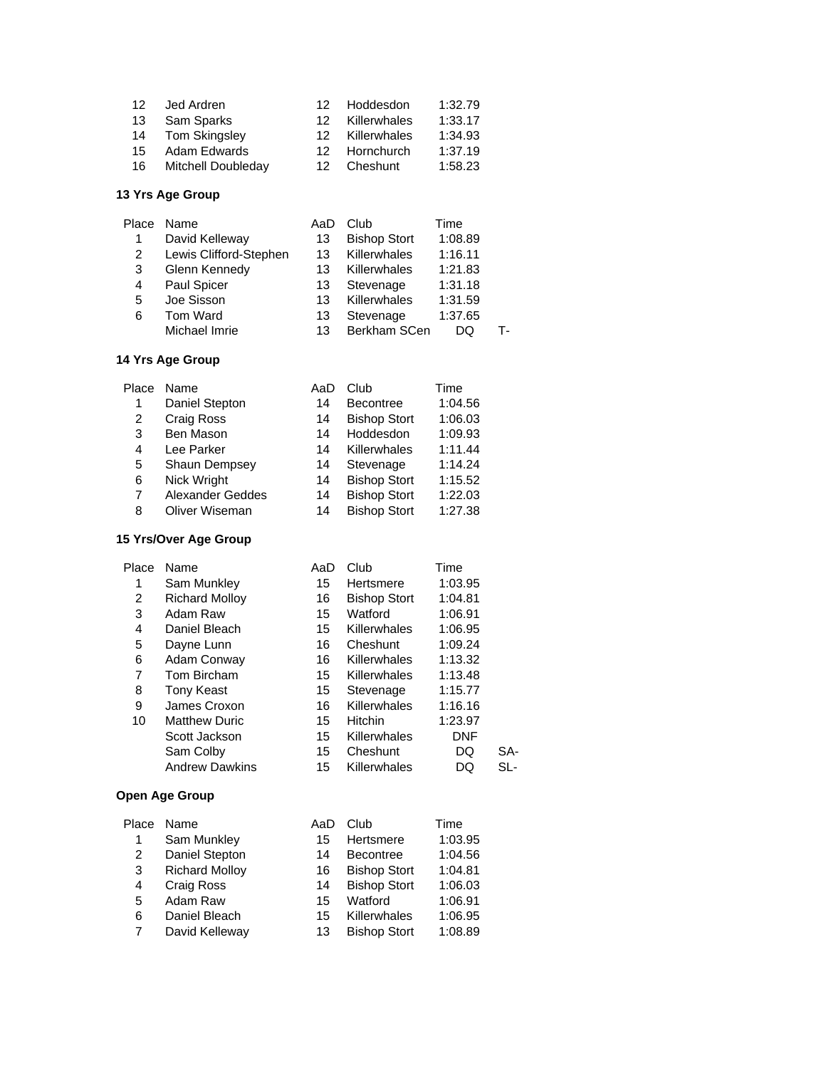| 12 | Jed Ardren         | 12. | Hoddesdon    | 1:32.79 |
|----|--------------------|-----|--------------|---------|
| 13 | Sam Sparks         | 12. | Killerwhales | 1:33.17 |
| 14 | Tom Skingsley      | 12. | Killerwhales | 1:34.93 |
| 15 | Adam Edwards       | 12. | Hornchurch   | 1:37.19 |
| 16 | Mitchell Doubleday | 12. | Cheshunt     | 1:58.23 |

| Name                   | AaD | Club                | Time    |    |
|------------------------|-----|---------------------|---------|----|
| David Kelleway         | 13  | <b>Bishop Stort</b> | 1:08.89 |    |
| Lewis Clifford-Stephen | 13  | Killerwhales        | 1:16.11 |    |
| Glenn Kennedy          | 13  | Killerwhales        | 1:21.83 |    |
| Paul Spicer            | 13  | Stevenage           | 1:31.18 |    |
| Joe Sisson             | 13  | Killerwhales        | 1:31.59 |    |
| Tom Ward               | 13  | Stevenage           | 1:37.65 |    |
| Michael Imrie          | 13  | Berkham SCen        | DО      | т. |
|                        |     |                     |         |    |

## **14 Yrs Age Group**

| Place | Name                 | AaD | Club                | Time    |
|-------|----------------------|-----|---------------------|---------|
| 1     | Daniel Stepton       | 14  | <b>Becontree</b>    | 1:04.56 |
| 2     | Craig Ross           | 14  | <b>Bishop Stort</b> | 1:06.03 |
| 3     | Ben Mason            | 14  | Hoddesdon           | 1:09.93 |
| 4     | Lee Parker           | 14  | Killerwhales        | 1:11.44 |
| 5     | <b>Shaun Dempsey</b> | 14  | Stevenage           | 1:14.24 |
| 6     | Nick Wright          | 14  | <b>Bishop Stort</b> | 1:15.52 |
| 7     | Alexander Geddes     | 14  | <b>Bishop Stort</b> | 1:22.03 |
| 8     | Oliver Wiseman       | 14  | <b>Bishop Stort</b> | 1:27.38 |

### **15 Yrs/Over Age Group**

| Place | Name                  | AaD | Club                | Time       |     |
|-------|-----------------------|-----|---------------------|------------|-----|
| 1     | Sam Munkley           | 15  | Hertsmere           | 1:03.95    |     |
| 2     | <b>Richard Molloy</b> | 16  | <b>Bishop Stort</b> | 1:04.81    |     |
| 3     | Adam Raw              | 15  | Watford             | 1:06.91    |     |
| 4     | Daniel Bleach         | 15  | Killerwhales        | 1:06.95    |     |
| 5     | Dayne Lunn            | 16  | Cheshunt            | 1:09.24    |     |
| 6     | Adam Conway           | 16  | Killerwhales        | 1:13.32    |     |
| 7     | Tom Bircham           | 15  | Killerwhales        | 1:13.48    |     |
| 8     | Tony Keast            | 15  | Stevenage           | 1:15.77    |     |
| 9     | James Croxon          | 16  | Killerwhales        | 1:16.16    |     |
| 10    | <b>Matthew Duric</b>  | 15  | Hitchin             | 1:23.97    |     |
|       | Scott Jackson         | 15  | Killerwhales        | <b>DNF</b> |     |
|       | Sam Colby             | 15  | Cheshunt            | DQ         | SA- |
|       | <b>Andrew Dawkins</b> | 15  | Killerwhales        | DQ         | SL- |

| Place | Name                  | AaD | Club                | Time    |
|-------|-----------------------|-----|---------------------|---------|
| 1     | Sam Munkley           | 15  | Hertsmere           | 1:03.95 |
| 2     | Daniel Stepton        | 14  | <b>Becontree</b>    | 1:04.56 |
| 3     | <b>Richard Molloy</b> | 16  | <b>Bishop Stort</b> | 1:04.81 |
| 4     | Craig Ross            | 14  | <b>Bishop Stort</b> | 1:06.03 |
| 5     | Adam Raw              | 15  | Watford             | 1:06.91 |
| 6     | Daniel Bleach         | 15  | Killerwhales        | 1:06.95 |
| 7     | David Kelleway        | 13  | <b>Bishop Stort</b> | 1:08.89 |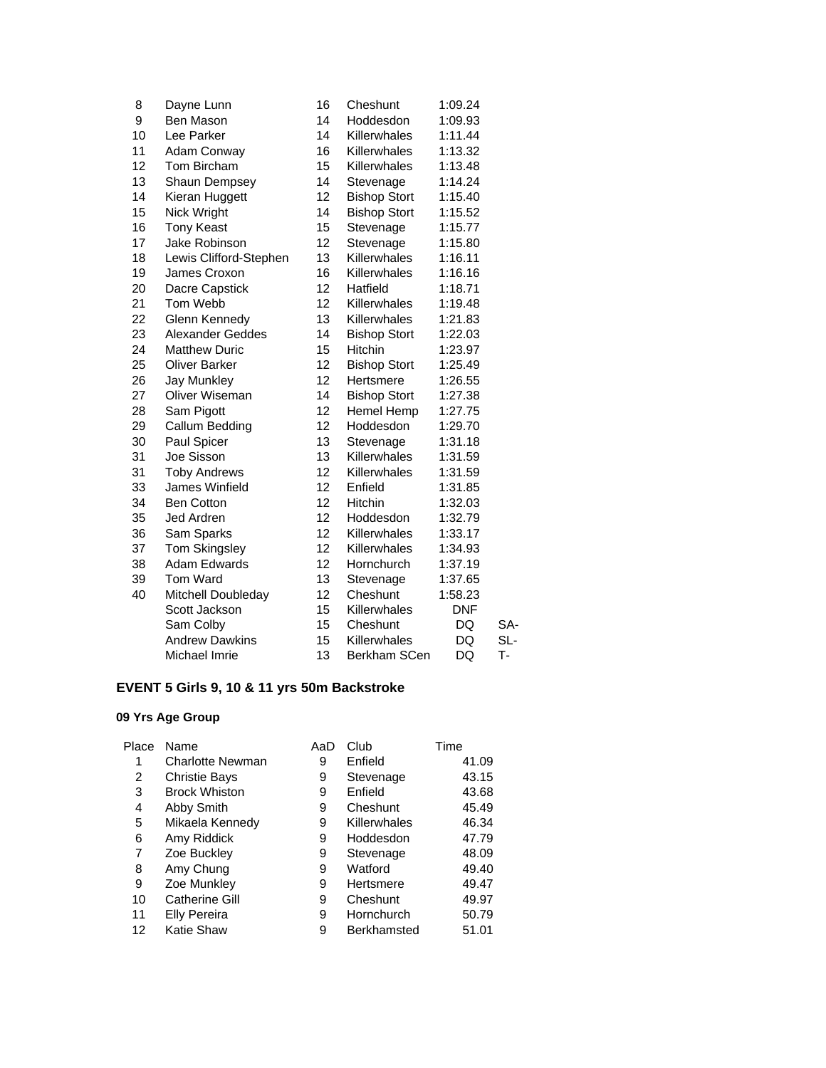| 8  | Dayne Lunn             | 16 | Cheshunt            | 1:09.24    |     |
|----|------------------------|----|---------------------|------------|-----|
| 9  | Ben Mason              | 14 | Hoddesdon           | 1:09.93    |     |
| 10 | Lee Parker             | 14 | Killerwhales        | 1:11.44    |     |
| 11 | Adam Conway            | 16 | Killerwhales        | 1:13.32    |     |
| 12 | Tom Bircham            | 15 | Killerwhales        | 1:13.48    |     |
| 13 | Shaun Dempsey          | 14 | Stevenage           | 1:14.24    |     |
| 14 | Kieran Huggett         | 12 | <b>Bishop Stort</b> | 1:15.40    |     |
| 15 | Nick Wright            | 14 | <b>Bishop Stort</b> | 1:15.52    |     |
| 16 | <b>Tony Keast</b>      | 15 | Stevenage           | 1:15.77    |     |
| 17 | Jake Robinson          | 12 | Stevenage           | 1:15.80    |     |
| 18 | Lewis Clifford-Stephen | 13 | Killerwhales        | 1:16.11    |     |
| 19 | James Croxon           | 16 | Killerwhales        | 1:16.16    |     |
| 20 | Dacre Capstick         | 12 | Hatfield            | 1:18.71    |     |
| 21 | Tom Webb               | 12 | Killerwhales        | 1:19.48    |     |
| 22 | Glenn Kennedy          | 13 | Killerwhales        | 1:21.83    |     |
| 23 | Alexander Geddes       | 14 | <b>Bishop Stort</b> | 1:22.03    |     |
| 24 | <b>Matthew Duric</b>   | 15 | Hitchin             | 1:23.97    |     |
| 25 | <b>Oliver Barker</b>   | 12 | <b>Bishop Stort</b> | 1:25.49    |     |
| 26 | <b>Jay Munkley</b>     | 12 | Hertsmere           | 1:26.55    |     |
| 27 | Oliver Wiseman         | 14 | <b>Bishop Stort</b> | 1:27.38    |     |
| 28 | Sam Pigott             | 12 | Hemel Hemp          | 1:27.75    |     |
| 29 | Callum Bedding         | 12 | Hoddesdon           | 1:29.70    |     |
| 30 | Paul Spicer            | 13 | Stevenage           | 1:31.18    |     |
| 31 | Joe Sisson             | 13 | Killerwhales        | 1:31.59    |     |
| 31 | <b>Toby Andrews</b>    | 12 | Killerwhales        | 1:31.59    |     |
| 33 | James Winfield         | 12 | Enfield             | 1:31.85    |     |
| 34 | <b>Ben Cotton</b>      | 12 | Hitchin             | 1:32.03    |     |
| 35 | Jed Ardren             | 12 | Hoddesdon           | 1:32.79    |     |
| 36 | Sam Sparks             | 12 | Killerwhales        | 1:33.17    |     |
| 37 | <b>Tom Skingsley</b>   | 12 | Killerwhales        | 1:34.93    |     |
| 38 | <b>Adam Edwards</b>    | 12 | Hornchurch          | 1:37.19    |     |
| 39 | <b>Tom Ward</b>        | 13 | Stevenage           | 1:37.65    |     |
| 40 | Mitchell Doubleday     | 12 | Cheshunt            | 1:58.23    |     |
|    | Scott Jackson          | 15 | Killerwhales        | <b>DNF</b> |     |
|    | Sam Colby              | 15 | Cheshunt            | DQ         | SA- |
|    | <b>Andrew Dawkins</b>  | 15 | Killerwhales        | DQ         | SL- |
|    | Michael Imrie          | 13 | <b>Berkham SCen</b> | DQ         | т.  |
|    |                        |    |                     |            |     |

# **EVENT 5 Girls 9, 10 & 11 yrs 50m Backstroke**

| Place | Name                    | AaD | Club               | Time  |
|-------|-------------------------|-----|--------------------|-------|
| 1     | <b>Charlotte Newman</b> | 9   | Enfield            | 41.09 |
| 2     | <b>Christie Bays</b>    | 9   | Stevenage          | 43.15 |
| 3     | <b>Brock Whiston</b>    | 9   | Enfield            | 43.68 |
| 4     | Abby Smith              | 9   | Cheshunt           | 45.49 |
| 5     | Mikaela Kennedy         | 9   | Killerwhales       | 46.34 |
| 6     | Amy Riddick             | 9   | Hoddesdon          | 47.79 |
| 7     | Zoe Buckley             | 9   | Stevenage          | 48.09 |
| 8     | Amy Chung               | 9   | Watford            | 49.40 |
| 9     | Zoe Munkley             | 9   | Hertsmere          | 49.47 |
| 10    | Catherine Gill          | 9   | Cheshunt           | 49.97 |
| 11    | <b>Elly Pereira</b>     | 9   | Hornchurch         | 50.79 |
| 12    | Katie Shaw              | 9   | <b>Berkhamsted</b> | 51.01 |
|       |                         |     |                    |       |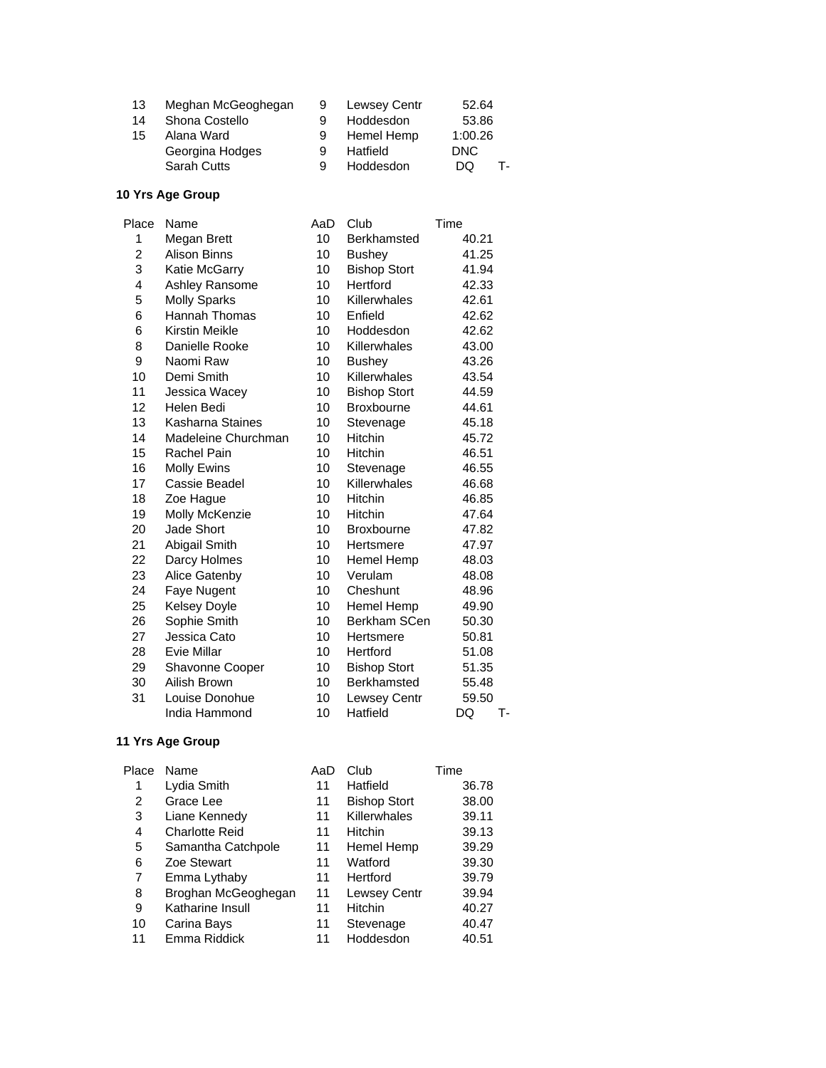| 13 | Meghan McGeoghegan |   | Lewsey Centr | 52.64    |
|----|--------------------|---|--------------|----------|
| 14 | Shona Costello     |   | Hoddesdon    | 53.86    |
| 15 | Alana Ward         | 9 | Hemel Hemp   | 1:00.26  |
|    | Georgina Hodges    | 9 | Hatfield     | DNC      |
|    | <b>Sarah Cutts</b> | 9 | Hoddesdon    | DQ<br>т. |
|    |                    |   |              |          |

| Place | Name                  | AaD | Club                | Time     |
|-------|-----------------------|-----|---------------------|----------|
| 1     | Megan Brett           | 10  | Berkhamsted         | 40.21    |
| 2     | <b>Alison Binns</b>   | 10  | <b>Bushey</b>       | 41.25    |
| 3     | Katie McGarry         | 10  | <b>Bishop Stort</b> | 41.94    |
| 4     | Ashley Ransome        | 10  | Hertford            | 42.33    |
| 5     | <b>Molly Sparks</b>   | 10  | Killerwhales        | 42.61    |
| 6     | Hannah Thomas         | 10  | Enfield             | 42.62    |
| 6     | <b>Kirstin Meikle</b> | 10  | Hoddesdon           | 42.62    |
| 8     | Danielle Rooke        | 10  | Killerwhales        | 43.00    |
| 9     | Naomi Raw             | 10  | <b>Bushey</b>       | 43.26    |
| 10    | Demi Smith            | 10  | Killerwhales        | 43.54    |
| 11    | Jessica Wacey         | 10  | <b>Bishop Stort</b> | 44.59    |
| 12    | Helen Bedi            | 10  | Broxbourne          | 44.61    |
| 13    | Kasharna Staines      | 10  | Stevenage           | 45.18    |
| 14    | Madeleine Churchman   | 10  | Hitchin             | 45.72    |
| 15    | Rachel Pain           | 10  | <b>Hitchin</b>      | 46.51    |
| 16    | <b>Molly Ewins</b>    | 10  | Stevenage           | 46.55    |
| 17    | Cassie Beadel         | 10  | Killerwhales        | 46.68    |
| 18    | Zoe Hague             | 10  | Hitchin             | 46.85    |
| 19    | Molly McKenzie        | 10  | Hitchin             | 47.64    |
| 20    | Jade Short            | 10  | <b>Broxbourne</b>   | 47.82    |
| 21    | Abigail Smith         | 10  | Hertsmere           | 47.97    |
| 22    | Darcy Holmes          | 10  | Hemel Hemp          | 48.03    |
| 23    | Alice Gatenby         | 10  | Verulam             | 48.08    |
| 24    | Faye Nugent           | 10  | Cheshunt            | 48.96    |
| 25    | Kelsey Doyle          | 10  | Hemel Hemp          | 49.90    |
| 26    | Sophie Smith          | 10  | Berkham SCen        | 50.30    |
| 27    | Jessica Cato          | 10  | Hertsmere           | 50.81    |
| 28    | Evie Millar           | 10  | Hertford            | 51.08    |
| 29    | Shavonne Cooper       | 10  | <b>Bishop Stort</b> | 51.35    |
| 30    | Ailish Brown          | 10  | Berkhamsted         | 55.48    |
| 31    | Louise Donohue        | 10  | Lewsey Centr        | 59.50    |
|       | India Hammond         | 10  | Hatfield            | DQ<br>т. |

| Place | Name                  | AaD | Club                | Time  |
|-------|-----------------------|-----|---------------------|-------|
| 1     | Lydia Smith           | 11  | Hatfield            | 36.78 |
| 2     | Grace Lee             | 11  | <b>Bishop Stort</b> | 38.00 |
| 3     | Liane Kennedy         | 11  | Killerwhales        | 39.11 |
| 4     | <b>Charlotte Reid</b> | 11  | <b>Hitchin</b>      | 39.13 |
| 5     | Samantha Catchpole    | 11  | Hemel Hemp          | 39.29 |
| 6     | Zoe Stewart           | 11  | Watford             | 39.30 |
| 7     | Emma Lythaby          | 11  | Hertford            | 39.79 |
| 8     | Broghan McGeoghegan   | 11  | Lewsey Centr        | 39.94 |
| 9     | Katharine Insull      | 11  | Hitchin             | 40.27 |
| 10    | Carina Bays           | 11  | Stevenage           | 40.47 |
| 11    | Emma Riddick          | 11  | Hoddesdon           | 40.51 |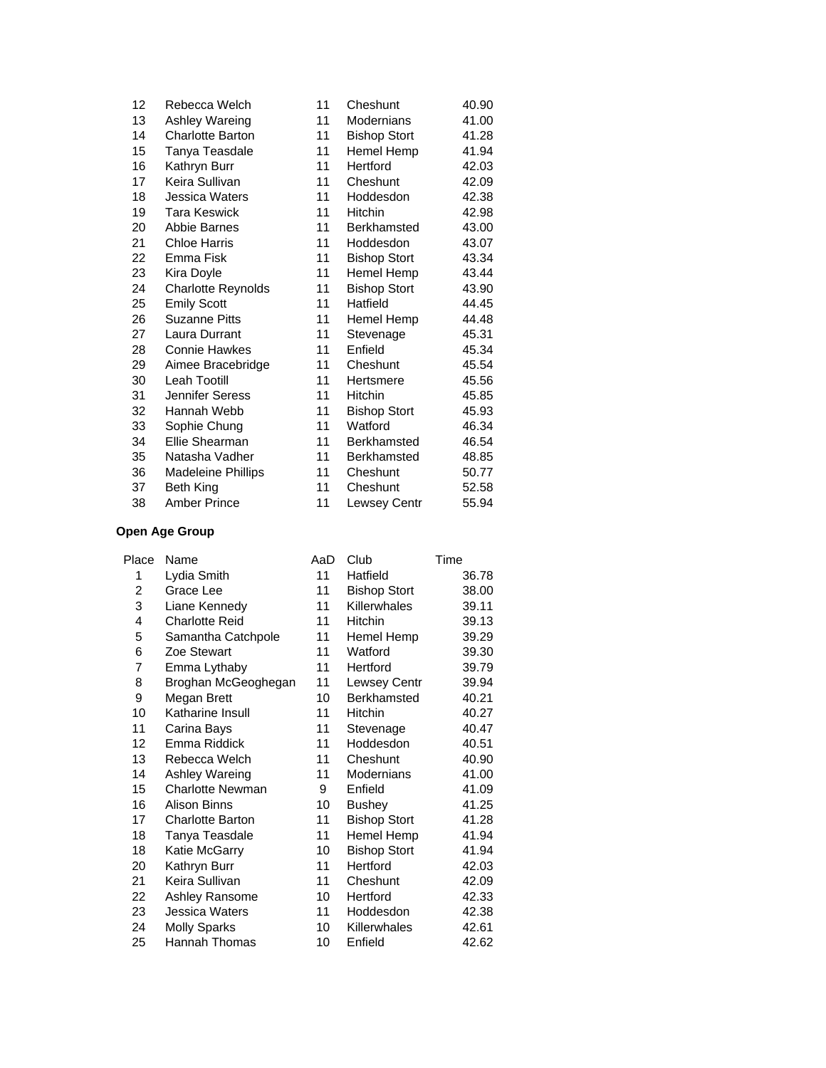| 12 | Rebecca Welch             | 11 | Cheshunt            | 40.90 |
|----|---------------------------|----|---------------------|-------|
| 13 | Ashley Wareing            | 11 | Modernians          | 41.00 |
| 14 | <b>Charlotte Barton</b>   | 11 | <b>Bishop Stort</b> | 41.28 |
| 15 | Tanya Teasdale            | 11 | Hemel Hemp          | 41.94 |
| 16 | Kathryn Burr              | 11 | Hertford            | 42.03 |
| 17 | Keira Sullivan            | 11 | Cheshunt            | 42.09 |
| 18 | Jessica Waters            | 11 | Hoddesdon           | 42.38 |
| 19 | <b>Tara Keswick</b>       | 11 | <b>Hitchin</b>      | 42.98 |
| 20 | Abbie Barnes              | 11 | Berkhamsted         | 43.00 |
| 21 | <b>Chloe Harris</b>       | 11 | Hoddesdon           | 43.07 |
| 22 | Emma Fisk                 | 11 | <b>Bishop Stort</b> | 43.34 |
| 23 | Kira Doyle                | 11 | Hemel Hemp          | 43.44 |
| 24 | <b>Charlotte Reynolds</b> | 11 | <b>Bishop Stort</b> | 43.90 |
| 25 | <b>Emily Scott</b>        | 11 | Hatfield            | 44.45 |
| 26 | <b>Suzanne Pitts</b>      | 11 | Hemel Hemp          | 44.48 |
| 27 | Laura Durrant             | 11 | Stevenage           | 45.31 |
| 28 | <b>Connie Hawkes</b>      | 11 | Enfield             | 45.34 |
| 29 | Aimee Bracebridge         | 11 | Cheshunt            | 45.54 |
| 30 | <b>Leah Tootill</b>       | 11 | Hertsmere           | 45.56 |
| 31 | Jennifer Seress           | 11 | Hitchin             | 45.85 |
| 32 | Hannah Webb               | 11 | <b>Bishop Stort</b> | 45.93 |
| 33 | Sophie Chung              | 11 | Watford             | 46.34 |
| 34 | Ellie Shearman            | 11 | <b>Berkhamsted</b>  | 46.54 |
| 35 | Natasha Vadher            | 11 | <b>Berkhamsted</b>  | 48.85 |
| 36 | <b>Madeleine Phillips</b> | 11 | Cheshunt            | 50.77 |
| 37 | <b>Beth King</b>          | 11 | Cheshunt            | 52.58 |
| 38 | <b>Amber Prince</b>       | 11 | Lewsey Centr        | 55.94 |

| Place | Name                    | AaD | Club                | Time  |
|-------|-------------------------|-----|---------------------|-------|
| 1     | Lydia Smith             | 11  | Hatfield            | 36.78 |
| 2     | Grace Lee               | 11  | <b>Bishop Stort</b> | 38.00 |
| 3     | Liane Kennedy           | 11  | Killerwhales        | 39.11 |
| 4     | <b>Charlotte Reid</b>   | 11  | Hitchin             | 39.13 |
| 5     | Samantha Catchpole      | 11  | Hemel Hemp          | 39.29 |
| 6     | Zoe Stewart             | 11  | Watford             | 39.30 |
| 7     | Emma Lythaby            | 11  | Hertford            | 39.79 |
| 8     | Broghan McGeoghegan     | 11  | Lewsey Centr        | 39.94 |
| 9     | Megan Brett             | 10  | <b>Berkhamsted</b>  | 40.21 |
| 10    | Katharine Insull        | 11  | Hitchin             | 40.27 |
| 11    | Carina Bays             | 11  | Stevenage           | 40.47 |
| 12    | Emma Riddick            | 11  | Hoddesdon           | 40.51 |
| 13    | Rebecca Welch           | 11  | Cheshunt            | 40.90 |
| 14    | Ashley Wareing          | 11  | Modernians          | 41.00 |
| 15    | <b>Charlotte Newman</b> | 9   | Enfield             | 41.09 |
| 16    | <b>Alison Binns</b>     | 10  | <b>Bushey</b>       | 41.25 |
| 17    | <b>Charlotte Barton</b> | 11  | <b>Bishop Stort</b> | 41.28 |
| 18    | Tanya Teasdale          | 11  | Hemel Hemp          | 41.94 |
| 18    | Katie McGarry           | 10  | <b>Bishop Stort</b> | 41.94 |
| 20    | Kathryn Burr            | 11  | Hertford            | 42.03 |
| 21    | Keira Sullivan          | 11  | Cheshunt            | 42.09 |
| 22    | Ashley Ransome          | 10  | Hertford            | 42.33 |
| 23    | Jessica Waters          | 11  | Hoddesdon           | 42.38 |
| 24    | <b>Molly Sparks</b>     | 10  | Killerwhales        | 42.61 |
| 25    | Hannah Thomas           | 10  | Enfield             | 42.62 |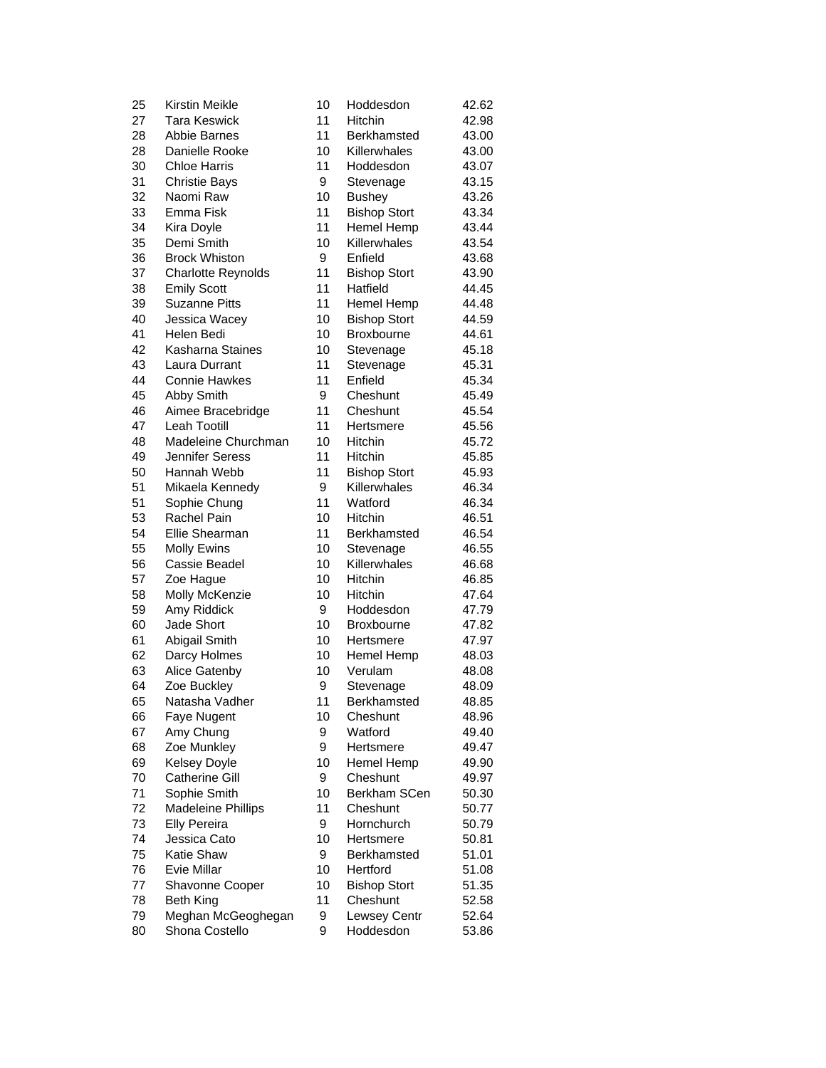| 25 | Kirstin Meikle            | 10 | Hoddesdon           | 42.62 |
|----|---------------------------|----|---------------------|-------|
| 27 | <b>Tara Keswick</b>       | 11 | <b>Hitchin</b>      | 42.98 |
| 28 | <b>Abbie Barnes</b>       | 11 | Berkhamsted         | 43.00 |
| 28 | Danielle Rooke            | 10 | Killerwhales        | 43.00 |
| 30 | <b>Chloe Harris</b>       | 11 | Hoddesdon           | 43.07 |
| 31 | <b>Christie Bays</b>      | 9  | Stevenage           | 43.15 |
| 32 | Naomi Raw                 | 10 | <b>Bushey</b>       | 43.26 |
| 33 | Emma Fisk                 | 11 | <b>Bishop Stort</b> | 43.34 |
| 34 | Kira Doyle                | 11 | Hemel Hemp          | 43.44 |
| 35 | Demi Smith                | 10 | Killerwhales        | 43.54 |
| 36 | <b>Brock Whiston</b>      | 9  | Enfield             | 43.68 |
| 37 | <b>Charlotte Reynolds</b> | 11 | <b>Bishop Stort</b> | 43.90 |
| 38 | <b>Emily Scott</b>        | 11 | Hatfield            | 44.45 |
| 39 | <b>Suzanne Pitts</b>      | 11 | Hemel Hemp          | 44.48 |
| 40 | Jessica Wacey             | 10 | <b>Bishop Stort</b> | 44.59 |
| 41 | Helen Bedi                | 10 | <b>Broxbourne</b>   | 44.61 |
| 42 | Kasharna Staines          | 10 | Stevenage           | 45.18 |
| 43 | Laura Durrant             | 11 | Stevenage           | 45.31 |
| 44 | <b>Connie Hawkes</b>      | 11 | Enfield             | 45.34 |
| 45 | Abby Smith                | 9  | Cheshunt            | 45.49 |
| 46 | Aimee Bracebridge         | 11 | Cheshunt            | 45.54 |
| 47 | Leah Tootill              | 11 | Hertsmere           | 45.56 |
| 48 | Madeleine Churchman       | 10 | Hitchin             | 45.72 |
| 49 | Jennifer Seress           | 11 | <b>Hitchin</b>      | 45.85 |
| 50 | Hannah Webb               | 11 | <b>Bishop Stort</b> | 45.93 |
| 51 | Mikaela Kennedy           | 9  | Killerwhales        | 46.34 |
| 51 | Sophie Chung              | 11 | Watford             | 46.34 |
| 53 | <b>Rachel Pain</b>        | 10 | Hitchin             | 46.51 |
| 54 | Ellie Shearman            | 11 | <b>Berkhamsted</b>  | 46.54 |
| 55 | Molly Ewins               | 10 | Stevenage           | 46.55 |
| 56 | Cassie Beadel             | 10 | Killerwhales        | 46.68 |
| 57 | Zoe Hague                 | 10 | Hitchin             | 46.85 |
| 58 | Molly McKenzie            | 10 | <b>Hitchin</b>      | 47.64 |
| 59 | Amy Riddick               | 9  | Hoddesdon           | 47.79 |
| 60 | Jade Short                | 10 | <b>Broxbourne</b>   | 47.82 |
| 61 | Abigail Smith             | 10 | Hertsmere           | 47.97 |
| 62 | Darcy Holmes              | 10 | Hemel Hemp          | 48.03 |
| 63 | Alice Gatenby             | 10 | Verulam             | 48.08 |
| 64 | Zoe Buckley               | 9  | Stevenage           | 48.09 |
| 65 | Natasha Vadher            | 11 | Berkhamsted         | 48.85 |
| 66 | Faye Nugent               | 10 | Cheshunt            | 48.96 |
| 67 | Amy Chung                 | 9  | Watford             | 49.40 |
| 68 | Zoe Munkley               | 9  | Hertsmere           | 49.47 |
| 69 | <b>Kelsey Doyle</b>       | 10 | Hemel Hemp          | 49.90 |
| 70 | <b>Catherine Gill</b>     | 9  | Cheshunt            | 49.97 |
| 71 | Sophie Smith              | 10 | Berkham SCen        | 50.30 |
| 72 | <b>Madeleine Phillips</b> | 11 | Cheshunt            | 50.77 |
| 73 | <b>Elly Pereira</b>       | 9  | Hornchurch          | 50.79 |
| 74 | Jessica Cato              | 10 | Hertsmere           | 50.81 |
| 75 | Katie Shaw                | 9  | Berkhamsted         | 51.01 |
| 76 | Evie Millar               | 10 | Hertford            | 51.08 |
| 77 | Shavonne Cooper           | 10 | <b>Bishop Stort</b> | 51.35 |
| 78 | <b>Beth King</b>          | 11 | Cheshunt            | 52.58 |
| 79 | Meghan McGeoghegan        | 9  | Lewsey Centr        | 52.64 |
| 80 | Shona Costello            | 9  | Hoddesdon           | 53.86 |
|    |                           |    |                     |       |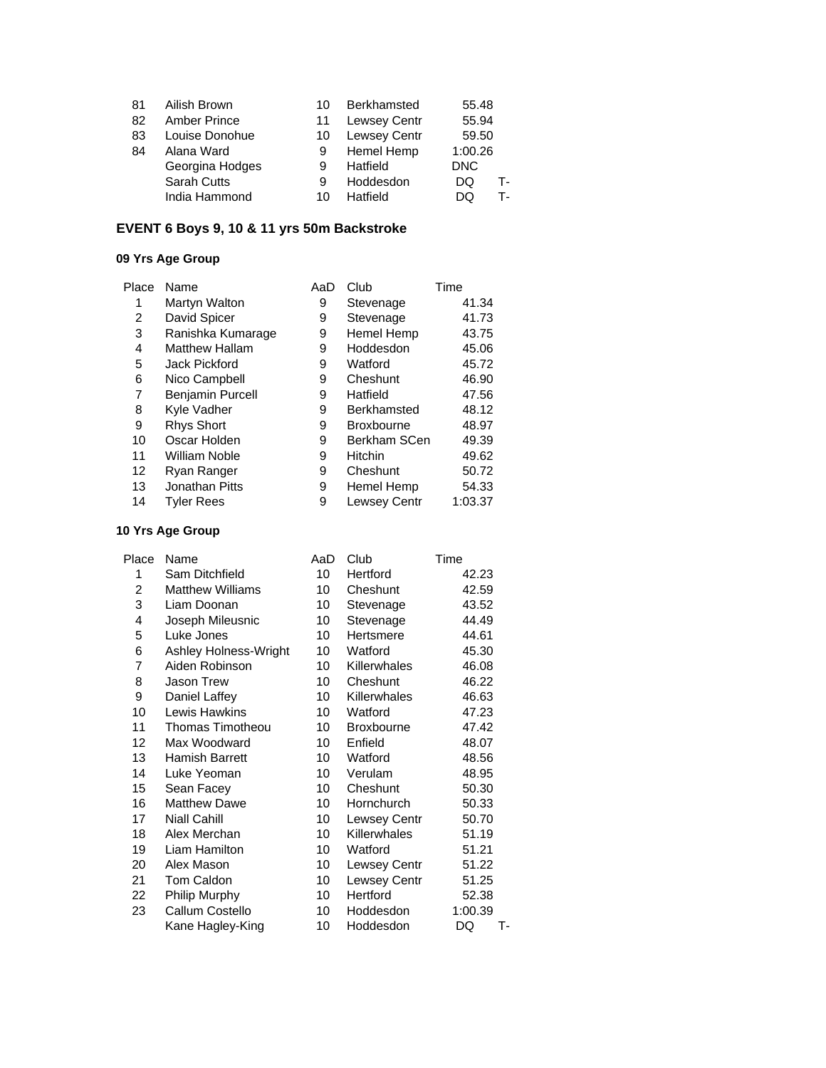| 81 | Ailish Brown        | 10 | Berkhamsted         | 55.48      |    |
|----|---------------------|----|---------------------|------------|----|
| 82 | <b>Amber Prince</b> | 11 | Lewsey Centr        | 55.94      |    |
| 83 | Louise Donohue      | 10 | <b>Lewsey Centr</b> | 59.50      |    |
| 84 | Alana Ward          | 9  | Hemel Hemp          | 1:00.26    |    |
|    | Georgina Hodges     | 9  | Hatfield            | <b>DNC</b> |    |
|    | <b>Sarah Cutts</b>  | 9  | Hoddesdon           | DQ         | т. |
|    | India Hammond       | 10 | Hatfield            | DO         | т. |

## **EVENT 6 Boys 9, 10 & 11 yrs 50m Backstroke**

### **09 Yrs Age Group**

| Place | Name                    | AaD | Club                | Time    |
|-------|-------------------------|-----|---------------------|---------|
| 1     | Martyn Walton           | 9   | Stevenage           | 41.34   |
| 2     | David Spicer            | 9   | Stevenage           | 41.73   |
| 3     | Ranishka Kumarage       | 9   | Hemel Hemp          | 43.75   |
| 4     | <b>Matthew Hallam</b>   | 9   | Hoddesdon           | 45.06   |
| 5     | Jack Pickford           | 9   | Watford             | 45.72   |
| 6     | Nico Campbell           | 9   | Cheshunt            | 46.90   |
| 7     | <b>Benjamin Purcell</b> | 9   | Hatfield            | 47.56   |
| 8     | Kyle Vadher             | 9   | Berkhamsted         | 48.12   |
| 9     | <b>Rhys Short</b>       | 9   | <b>Broxbourne</b>   | 48.97   |
| 10    | Oscar Holden            | 9   | Berkham SCen        | 49.39   |
| 11    | William Noble           | 9   | Hitchin             | 49.62   |
| 12    | Ryan Ranger             | 9   | Cheshunt            | 50.72   |
| 13    | Jonathan Pitts          | 9   | Hemel Hemp          | 54.33   |
| 14    | <b>Tyler Rees</b>       | 9   | <b>Lewsey Centr</b> | 1:03.37 |
|       |                         |     |                     |         |

| Name                    | AaD             | Club                | Time     |
|-------------------------|-----------------|---------------------|----------|
| Sam Ditchfield          | 10              | Hertford            | 42.23    |
| <b>Matthew Williams</b> | 10              | Cheshunt            | 42.59    |
| Liam Doonan             | 10              | Stevenage           | 43.52    |
| Joseph Mileusnic        | 10              | Stevenage           | 44.49    |
| Luke Jones              | 10              | Hertsmere           | 44.61    |
| Ashley Holness-Wright   | 10              | Watford             | 45.30    |
| Aiden Robinson          | 10 <sup>°</sup> | Killerwhales        | 46.08    |
| <b>Jason Trew</b>       | 10              | Cheshunt            | 46.22    |
| Daniel Laffey           | 10              | <b>Killerwhales</b> | 46.63    |
| Lewis Hawkins           | 10              | Watford             | 47.23    |
| Thomas Timotheou        | 10              | Broxbourne          | 47.42    |
| Max Woodward            | 10              | Enfield             | 48.07    |
| Hamish Barrett          | 10              | Watford             | 48.56    |
| Luke Yeoman             | 10              | Verulam             | 48.95    |
| Sean Facey              | 10              | Cheshunt            | 50.30    |
| <b>Matthew Dawe</b>     | 10              | Hornchurch          | 50.33    |
| <b>Niall Cahill</b>     | 10              | <b>Lewsey Centr</b> | 50.70    |
| Alex Merchan            | 10              | <b>Killerwhales</b> | 51.19    |
| Liam Hamilton           | 10              | Watford             | 51.21    |
| Alex Mason              | 10              | Lewsey Centr        | 51.22    |
| Tom Caldon              | 10              | <b>Lewsey Centr</b> | 51.25    |
| Philip Murphy           | 10              | Hertford            | 52.38    |
| Callum Costello         | 10              | Hoddesdon           | 1:00.39  |
| Kane Hagley-King        | 10              | Hoddesdon           | DQ<br>т- |
|                         |                 |                     |          |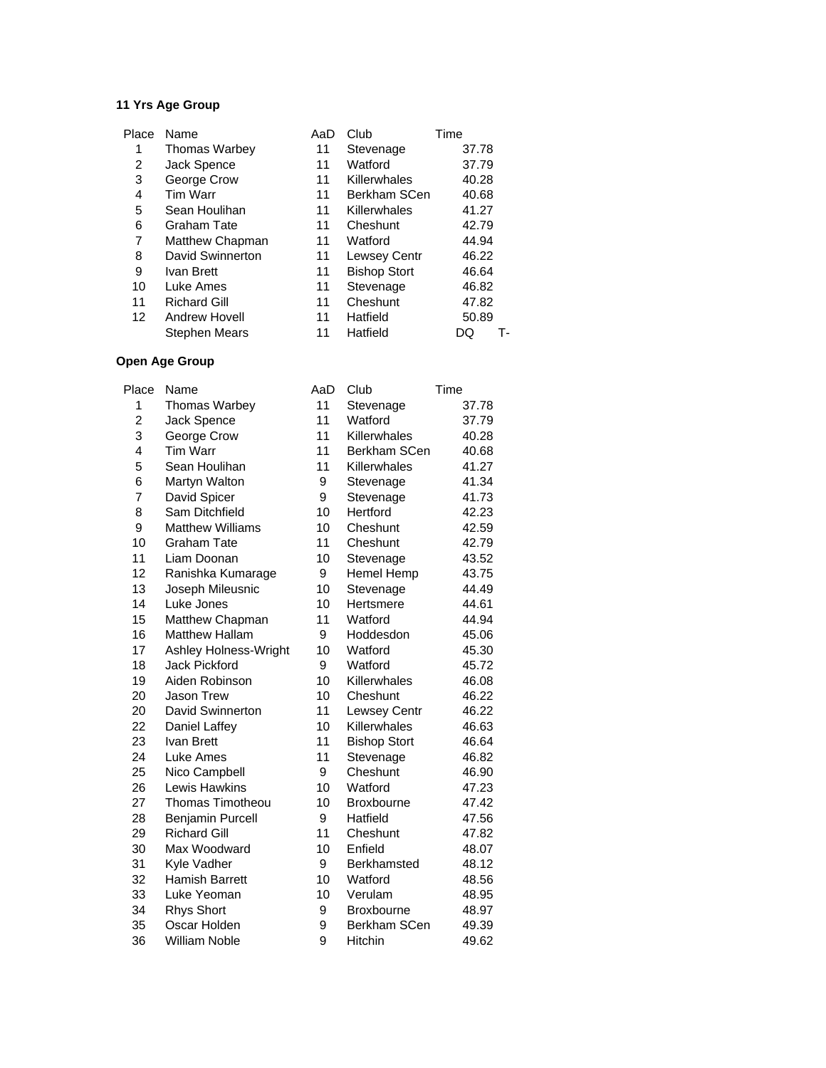| Place             | Name                 | AaD | Club                | Time     |
|-------------------|----------------------|-----|---------------------|----------|
| 1                 | <b>Thomas Warbey</b> | 11  | Stevenage           | 37.78    |
| 2                 | Jack Spence          | 11  | Watford             | 37.79    |
| 3                 | George Crow          | 11  | Killerwhales        | 40.28    |
| 4                 | Tim Warr             | 11  | Berkham SCen        | 40.68    |
| 5                 | Sean Houlihan        | 11  | Killerwhales        | 41.27    |
| 6                 | <b>Graham Tate</b>   | 11  | Cheshunt            | 42.79    |
| 7                 | Matthew Chapman      | 11  | Watford             | 44.94    |
| 8                 | David Swinnerton     | 11  | <b>Lewsey Centr</b> | 46.22    |
| 9                 | Ivan Brett           | 11  | <b>Bishop Stort</b> | 46.64    |
| 10                | Luke Ames            | 11  | Stevenage           | 46.82    |
| 11                | <b>Richard Gill</b>  | 11  | Cheshunt            | 47.82    |
| $12 \overline{ }$ | Andrew Hovell        | 11  | Hatfield            | 50.89    |
|                   | Stephen Mears        | 11  | Hatfield            | т.<br>DΟ |

| Place          | Name                    | AaD | Club                | Time  |
|----------------|-------------------------|-----|---------------------|-------|
| 1              | <b>Thomas Warbey</b>    | 11  | Stevenage           | 37.78 |
| $\overline{c}$ | Jack Spence             | 11  | Watford             | 37.79 |
| 3              | George Crow             | 11  | Killerwhales        | 40.28 |
| 4              | <b>Tim Warr</b>         | 11  | Berkham SCen        | 40.68 |
| 5              | Sean Houlihan           | 11  | Killerwhales        | 41.27 |
| 6              | Martyn Walton           | 9   | Stevenage           | 41.34 |
| 7              | David Spicer            | 9   | Stevenage           | 41.73 |
| 8              | Sam Ditchfield          | 10  | Hertford            | 42.23 |
| 9              | <b>Matthew Williams</b> | 10  | Cheshunt            | 42.59 |
| 10             | <b>Graham Tate</b>      | 11  | Cheshunt            | 42.79 |
| 11             | Liam Doonan             | 10  | Stevenage           | 43.52 |
| 12             | Ranishka Kumarage       | 9   | <b>Hemel Hemp</b>   | 43.75 |
| 13             | Joseph Mileusnic        | 10  | Stevenage           | 44.49 |
| 14             | Luke Jones              | 10  | Hertsmere           | 44.61 |
| 15             | Matthew Chapman         | 11  | Watford             | 44.94 |
| 16             | <b>Matthew Hallam</b>   | 9   | Hoddesdon           | 45.06 |
| 17             | Ashley Holness-Wright   | 10  | Watford             | 45.30 |
| 18             | <b>Jack Pickford</b>    | 9   | Watford             | 45.72 |
| 19             | Aiden Robinson          | 10  | Killerwhales        | 46.08 |
| 20             | Jason Trew              | 10  | Cheshunt            | 46.22 |
| 20             | <b>David Swinnerton</b> | 11  | <b>Lewsey Centr</b> | 46.22 |
| 22             | Daniel Laffey           | 10  | Killerwhales        | 46.63 |
| 23             | Ivan Brett              | 11  | <b>Bishop Stort</b> | 46.64 |
| 24             | Luke Ames               | 11  | Stevenage           | 46.82 |
| 25             | Nico Campbell           | 9   | Cheshunt            | 46.90 |
| 26             | Lewis Hawkins           | 10  | Watford             | 47.23 |
| 27             | <b>Thomas Timotheou</b> | 10  | <b>Broxbourne</b>   | 47.42 |
| 28             | <b>Benjamin Purcell</b> | 9   | Hatfield            | 47.56 |
| 29             | <b>Richard Gill</b>     | 11  | Cheshunt            | 47.82 |
| 30             | Max Woodward            | 10  | Enfield             | 48.07 |
| 31             | Kyle Vadher             | 9   | Berkhamsted         | 48.12 |
| 32             | <b>Hamish Barrett</b>   | 10  | Watford             | 48.56 |
| 33             | Luke Yeoman             | 10  | Verulam             | 48.95 |
| 34             | <b>Rhys Short</b>       | 9   | Broxbourne          | 48.97 |
| 35             | Oscar Holden            | 9   | Berkham SCen        | 49.39 |
| 36             | <b>William Noble</b>    | 9   | <b>Hitchin</b>      | 49.62 |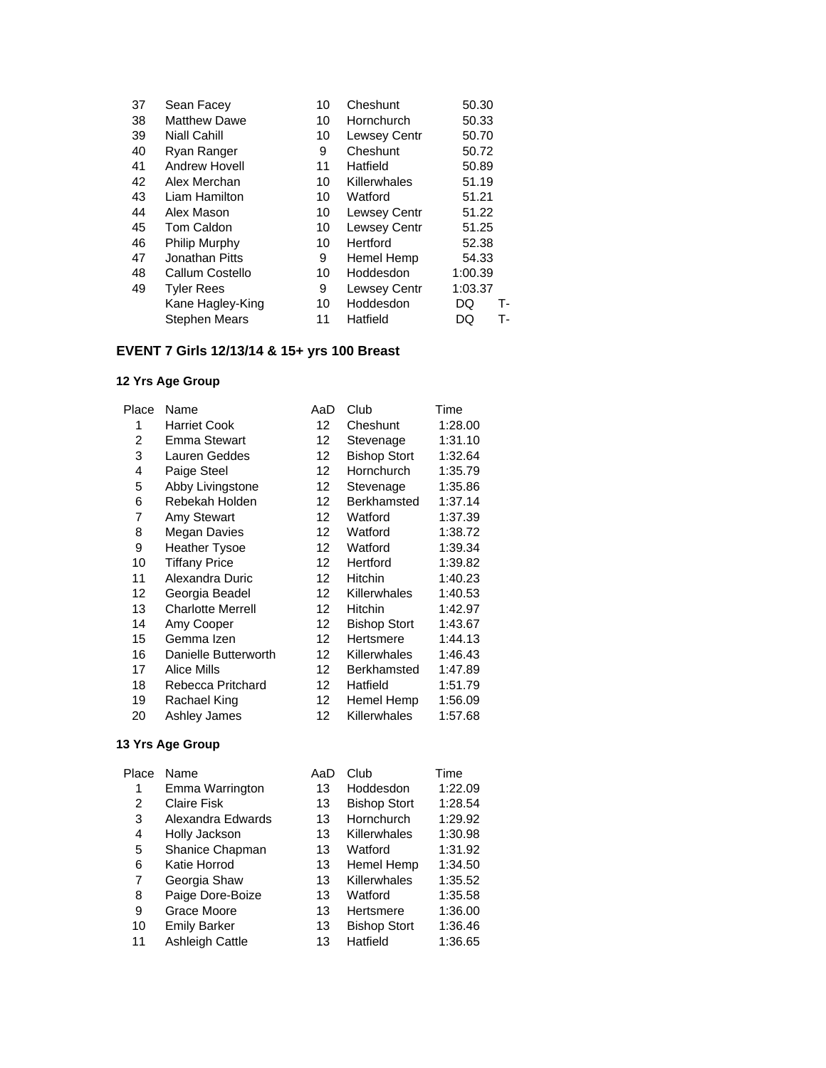| 37 | Sean Facey           | 10 | Cheshunt            | 50.30    |
|----|----------------------|----|---------------------|----------|
| 38 | <b>Matthew Dawe</b>  | 10 | Hornchurch          | 50.33    |
| 39 | <b>Niall Cahill</b>  | 10 | <b>Lewsey Centr</b> | 50.70    |
| 40 | Ryan Ranger          | 9  | Cheshunt            | 50.72    |
| 41 | <b>Andrew Hovell</b> | 11 | Hatfield            | 50.89    |
| 42 | Alex Merchan         | 10 | Killerwhales        | 51.19    |
| 43 | Liam Hamilton        | 10 | Watford             | 51.21    |
| 44 | Alex Mason           | 10 | <b>Lewsey Centr</b> | 51.22    |
| 45 | Tom Caldon           | 10 | Lewsey Centr        | 51.25    |
| 46 | Philip Murphy        | 10 | Hertford            | 52.38    |
| 47 | Jonathan Pitts       | 9  | Hemel Hemp          | 54.33    |
| 48 | Callum Costello      | 10 | Hoddesdon           | 1:00.39  |
| 49 | <b>Tyler Rees</b>    | 9  | <b>Lewsey Centr</b> | 1:03.37  |
|    | Kane Hagley-King     | 10 | Hoddesdon           | DQ<br>т. |
|    | <b>Stephen Mears</b> | 11 | Hatfield            | т.<br>DQ |
|    |                      |    |                     |          |

# **EVENT 7 Girls 12/13/14 & 15+ yrs 100 Breast**

# **12 Yrs Age Group**

| Place | Name                     | AaD               | Club                | Time    |
|-------|--------------------------|-------------------|---------------------|---------|
| 1     | <b>Harriet Cook</b>      | 12                | Cheshunt            | 1:28.00 |
| 2     | Emma Stewart             | 12                | Stevenage           | 1:31.10 |
| 3     | Lauren Geddes            | $12 \overline{ }$ | <b>Bishop Stort</b> | 1:32.64 |
| 4     | Paige Steel              | $12 \overline{ }$ | Hornchurch          | 1:35.79 |
| 5     | Abby Livingstone         | 12                | Stevenage           | 1:35.86 |
| 6     | Rebekah Holden           | $12 \overline{ }$ | Berkhamsted         | 1:37.14 |
| 7     | Amy Stewart              | $12 \overline{ }$ | Watford             | 1:37.39 |
| 8     | <b>Megan Davies</b>      | $12 \overline{ }$ | Watford             | 1:38.72 |
| 9     | <b>Heather Tysoe</b>     | $12 \overline{ }$ | Watford             | 1:39.34 |
| 10    | <b>Tiffany Price</b>     | $12 \overline{ }$ | Hertford            | 1:39.82 |
| 11    | Alexandra Duric          | $12 \overline{ }$ | Hitchin             | 1:40.23 |
| 12    | Georgia Beadel           | $12 \overline{ }$ | Killerwhales        | 1:40.53 |
| 13    | <b>Charlotte Merrell</b> | $12 \overline{ }$ | <b>Hitchin</b>      | 1:42.97 |
| 14    | Amy Cooper               | $12 \overline{ }$ | <b>Bishop Stort</b> | 1:43.67 |
| 15    | Gemma Izen               | 12                | Hertsmere           | 1:44.13 |
| 16    | Danielle Butterworth     | 12                | Killerwhales        | 1:46.43 |
| 17    | Alice Mills              | 12                | Berkhamsted         | 1:47.89 |
| 18    | Rebecca Pritchard        | $12 \overline{ }$ | Hatfield            | 1:51.79 |
| 19    | Rachael King             | $12 \overline{ }$ | Hemel Hemp          | 1:56.09 |
| 20    | Ashley James             | 12                | Killerwhales        | 1:57.68 |
|       |                          |                   |                     |         |

| Place | Name                   | AaD | Club                | Time    |
|-------|------------------------|-----|---------------------|---------|
| 1     | Emma Warrington        | 13  | Hoddesdon           | 1:22.09 |
| 2     | <b>Claire Fisk</b>     | 13  | <b>Bishop Stort</b> | 1:28.54 |
| 3     | Alexandra Edwards      | 13  | Hornchurch          | 1:29.92 |
| 4     | Holly Jackson          | 13  | Killerwhales        | 1:30.98 |
| 5     | Shanice Chapman        | 13  | Watford             | 1:31.92 |
| 6     | Katie Horrod           | 13  | Hemel Hemp          | 1:34.50 |
| 7     | Georgia Shaw           | 13  | Killerwhales        | 1:35.52 |
| 8     | Paige Dore-Boize       | 13  | Watford             | 1:35.58 |
| 9     | Grace Moore            | 13  | Hertsmere           | 1:36.00 |
| 10    | <b>Emily Barker</b>    | 13  | <b>Bishop Stort</b> | 1:36.46 |
| 11    | <b>Ashleigh Cattle</b> | 13  | Hatfield            | 1:36.65 |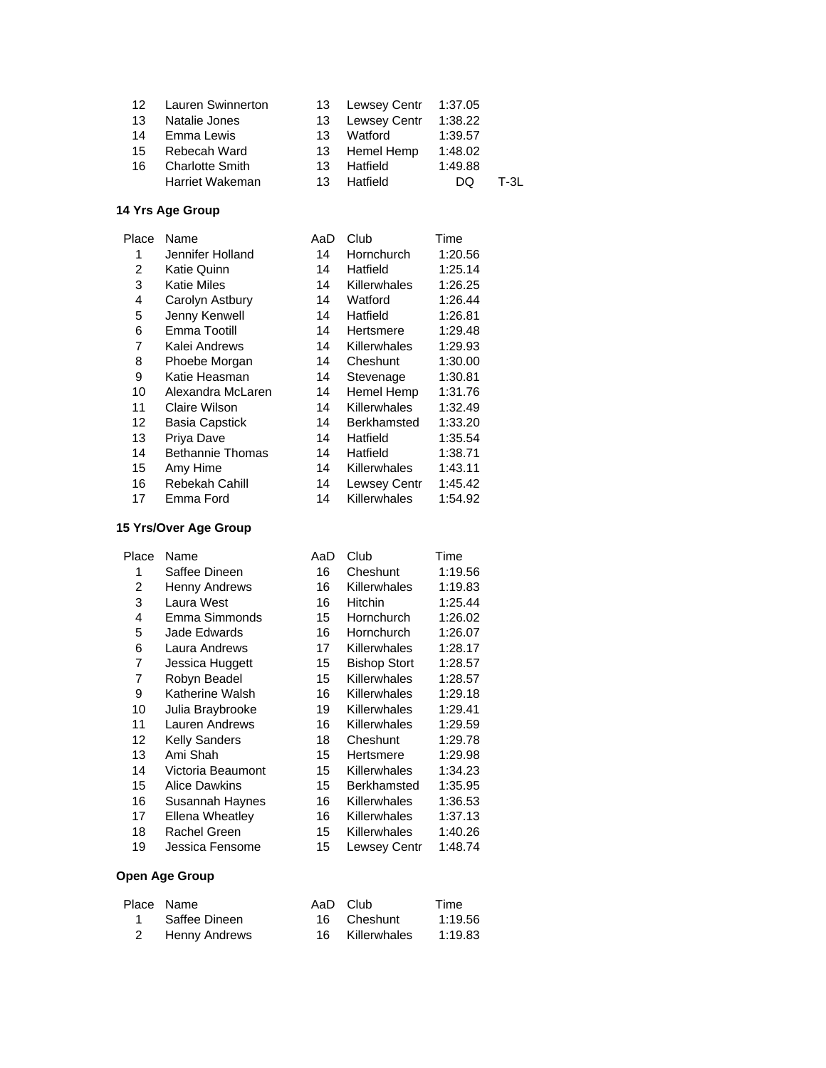|                 | 12 Lauren Swinnerton   |     | 13 Lewsey Centr | 1:37.05 |      |
|-----------------|------------------------|-----|-----------------|---------|------|
| 13              | Natalie Jones          |     | 13 Lewsey Centr | 1:38.22 |      |
| 14              | Emma Lewis             | 13  | Watford         | 1:39.57 |      |
| 15 <sub>1</sub> | Rebecah Ward           |     | 13 Hemel Hemp   | 1:48.02 |      |
| 16              | <b>Charlotte Smith</b> | 13  | Hatfield        | 1:49.88 |      |
|                 | Harriet Wakeman        | 13. | Hatfield        | DQ      | T-31 |

| Place | Name                    | AaD | Club                | Time    |
|-------|-------------------------|-----|---------------------|---------|
| 1     | Jennifer Holland        | 14  | Hornchurch          | 1:20.56 |
| 2     | Katie Quinn             | 14  | Hatfield            | 1:25.14 |
| 3     | Katie Miles             | 14  | Killerwhales        | 1:26.25 |
| 4     | Carolyn Astbury         | 14  | Watford             | 1:26.44 |
| 5     | Jenny Kenwell           | 14  | Hatfield            | 1:26.81 |
| 6     | Emma Tootill            | 14  | Hertsmere           | 1:29.48 |
| 7     | Kalei Andrews           | 14  | Killerwhales        | 1:29.93 |
| 8     | Phoebe Morgan           | 14  | Cheshunt            | 1:30.00 |
| 9     | Katie Heasman           | 14  | Stevenage           | 1:30.81 |
| 10    | Alexandra McLaren       | 14  | Hemel Hemp          | 1:31.76 |
| 11    | Claire Wilson           | 14  | Killerwhales        | 1:32.49 |
| 12    | Basia Capstick          | 14  | Berkhamsted         | 1:33.20 |
| 13    | Priya Dave              | 14  | Hatfield            | 1:35.54 |
| 14    | <b>Bethannie Thomas</b> | 14  | Hatfield            | 1:38.71 |
| 15    | Amy Hime                | 14  | Killerwhales        | 1:43.11 |
| 16    | Rebekah Cahill          | 14  | <b>Lewsey Centr</b> | 1:45.42 |
| 17    | Emma Ford               | 14  | Killerwhales        | 1:54.92 |
|       |                         |     |                     |         |

### **15 Yrs/Over Age Group**

| Place | Name                 | AaD | Club                | Time    |
|-------|----------------------|-----|---------------------|---------|
| 1     | Saffee Dineen        | 16  | Cheshunt            | 1:19.56 |
| 2     | Henny Andrews        | 16  | <b>Killerwhales</b> | 1:19.83 |
| 3     | Laura West           | 16  | <b>Hitchin</b>      | 1:25.44 |
| 4     | Emma Simmonds        | 15  | Hornchurch          | 1:26.02 |
| 5     | Jade Edwards         | 16  | <b>Hornchurch</b>   | 1:26.07 |
| 6     | Laura Andrews        | 17  | Killerwhales        | 1:28.17 |
| 7     | Jessica Huggett      | 15  | <b>Bishop Stort</b> | 1:28.57 |
| 7     | Robyn Beadel         | 15  | Killerwhales        | 1:28.57 |
| 9     | Katherine Walsh      | 16  | Killerwhales        | 1:29.18 |
| 10    | Julia Braybrooke     | 19  | <b>Killerwhales</b> | 1:29.41 |
| 11    | Lauren Andrews       | 16  | Killerwhales        | 1:29.59 |
| 12    | <b>Kelly Sanders</b> | 18  | Cheshunt            | 1:29.78 |
| 13    | Ami Shah             | 15  | Hertsmere           | 1:29.98 |
| 14    | Victoria Beaumont    | 15  | <b>Killerwhales</b> | 1:34.23 |
| 15    | <b>Alice Dawkins</b> | 15  | Berkhamsted         | 1:35.95 |
| 16    | Susannah Haynes      | 16  | Killerwhales        | 1:36.53 |
| 17    | Ellena Wheatley      | 16  | <b>Killerwhales</b> | 1:37.13 |
| 18    | Rachel Green         | 15  | Killerwhales        | 1:40.26 |
| 19    | Jessica Fensome      | 15  | Lewsey Centr        | 1:48.74 |

| Place Name      | AaD Club        | Time    |
|-----------------|-----------------|---------|
| 1 Saffee Dineen | 16 Cheshunt     | 1:19.56 |
| 2 Henny Andrews | 16 Killerwhales | 1:19.83 |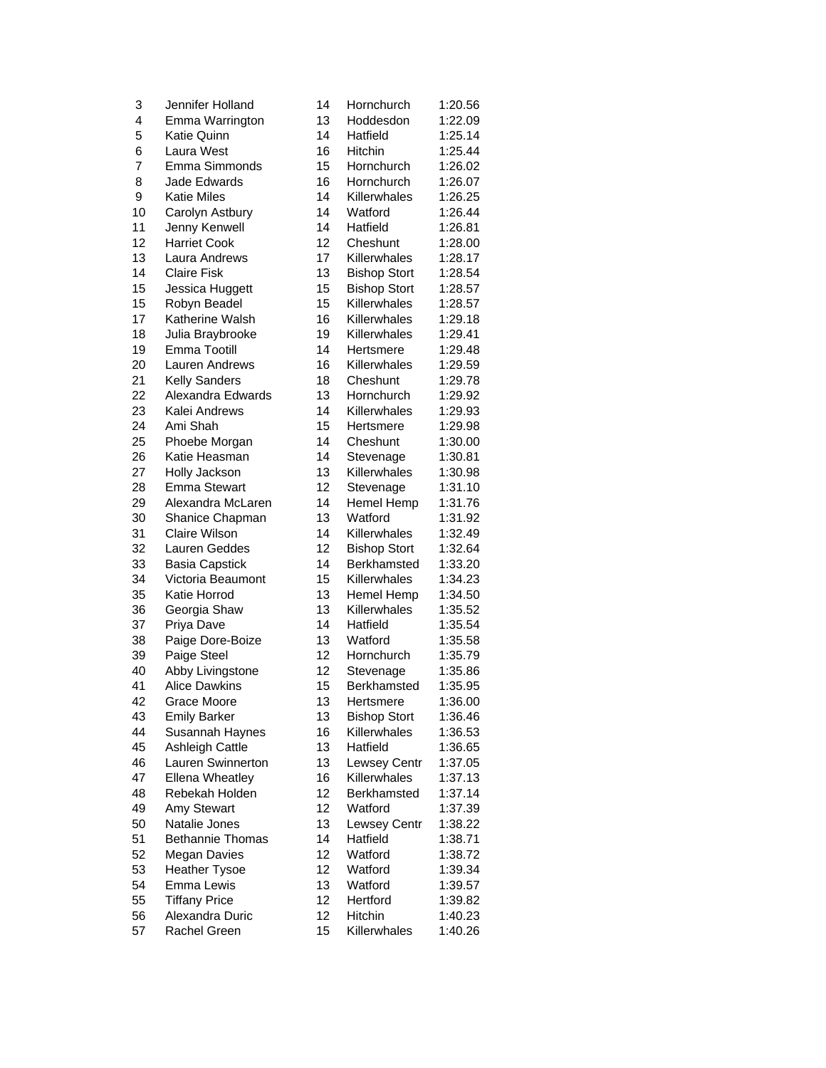| 3  | Jennifer Holland                | 14 | Hornchurch          | 1:20.56            |
|----|---------------------------------|----|---------------------|--------------------|
| 4  | Emma Warrington                 | 13 | Hoddesdon           | 1:22.09            |
| 5  | Katie Quinn                     | 14 | Hatfield            | 1:25.14            |
| 6  | Laura West                      | 16 | Hitchin             | 1:25.44            |
| 7  | Emma Simmonds                   | 15 | Hornchurch          | 1:26.02            |
| 8  | Jade Edwards                    | 16 | Hornchurch          | 1:26.07            |
| 9  | <b>Katie Miles</b>              | 14 | Killerwhales        | 1:26.25            |
| 10 | Carolyn Astbury                 | 14 | Watford             | 1:26.44            |
| 11 | Jenny Kenwell                   | 14 | Hatfield            | 1:26.81            |
| 12 | <b>Harriet Cook</b>             | 12 | Cheshunt            | 1:28.00            |
| 13 | Laura Andrews                   | 17 | Killerwhales        | 1:28.17            |
| 14 | <b>Claire Fisk</b>              | 13 | <b>Bishop Stort</b> | 1:28.54            |
| 15 | Jessica Huggett                 | 15 | <b>Bishop Stort</b> | 1:28.57            |
| 15 | Robyn Beadel                    | 15 | Killerwhales        | 1:28.57            |
| 17 | Katherine Walsh                 | 16 | Killerwhales        | 1:29.18            |
| 18 | Julia Braybrooke                | 19 | Killerwhales        | 1:29.41            |
| 19 | Emma Tootill                    | 14 | Hertsmere           | 1:29.48            |
| 20 | Lauren Andrews                  | 16 | Killerwhales        | 1:29.59            |
| 21 | <b>Kelly Sanders</b>            | 18 | Cheshunt            | 1:29.78            |
| 22 | Alexandra Edwards               | 13 | Hornchurch          | 1:29.92            |
| 23 | Kalei Andrews                   | 14 | Killerwhales        | 1:29.93            |
| 24 | Ami Shah                        | 15 | Hertsmere           | 1:29.98            |
| 25 | Phoebe Morgan                   | 14 | Cheshunt            | 1:30.00            |
| 26 | Katie Heasman                   | 14 | Stevenage           | 1:30.81            |
| 27 | Holly Jackson                   | 13 | Killerwhales        | 1:30.98            |
| 28 | <b>Emma Stewart</b>             | 12 | Stevenage           | 1:31.10            |
| 29 | Alexandra McLaren               | 14 | Hemel Hemp          | 1:31.76            |
| 30 | Shanice Chapman                 | 13 | Watford             | 1:31.92            |
| 31 | Claire Wilson                   | 14 | Killerwhales        | 1:32.49            |
| 32 | Lauren Geddes                   | 12 | <b>Bishop Stort</b> | 1:32.64            |
| 33 | <b>Basia Capstick</b>           | 14 | Berkhamsted         | 1:33.20            |
| 34 | Victoria Beaumont               | 15 | Killerwhales        | 1:34.23            |
| 35 | Katie Horrod                    | 13 | Hemel Hemp          | 1:34.50            |
| 36 | Georgia Shaw                    | 13 | Killerwhales        | 1:35.52            |
| 37 | Priya Dave                      | 14 | Hatfield            | 1:35.54            |
| 38 |                                 | 13 | Watford             |                    |
| 39 | Paige Dore-Boize<br>Paige Steel | 12 | Hornchurch          | 1:35.58<br>1:35.79 |
| 40 |                                 | 12 | Stevenage           | 1:35.86            |
|    | Abby Livingstone                | 15 |                     | 1:35.95            |
| 41 | <b>Alice Dawkins</b>            |    | Berkhamsted         |                    |
| 42 | Grace Moore                     | 13 | Hertsmere           | 1:36.00            |
| 43 | <b>Emily Barker</b>             | 13 | <b>Bishop Stort</b> | 1:36.46            |
| 44 | Susannah Haynes                 | 16 | Killerwhales        | 1:36.53            |
| 45 | Ashleigh Cattle                 | 13 | Hatfield            | 1:36.65            |
| 46 | Lauren Swinnerton               | 13 | Lewsey Centr        | 1:37.05            |
| 47 | <b>Ellena Wheatley</b>          | 16 | Killerwhales        | 1:37.13            |
| 48 | Rebekah Holden                  | 12 | <b>Berkhamsted</b>  | 1:37.14            |
| 49 | Amy Stewart                     | 12 | Watford             | 1:37.39            |
| 50 | Natalie Jones                   | 13 | Lewsey Centr        | 1:38.22            |
| 51 | <b>Bethannie Thomas</b>         | 14 | Hatfield            | 1:38.71            |
| 52 | <b>Megan Davies</b>             | 12 | Watford             | 1:38.72            |
| 53 | <b>Heather Tysoe</b>            | 12 | Watford             | 1:39.34            |
| 54 | Emma Lewis                      | 13 | Watford             | 1:39.57            |
| 55 | <b>Tiffany Price</b>            | 12 | Hertford            | 1:39.82            |
| 56 | Alexandra Duric                 | 12 | Hitchin             | 1:40.23            |
| 57 | Rachel Green                    | 15 | Killerwhales        | 1:40.26            |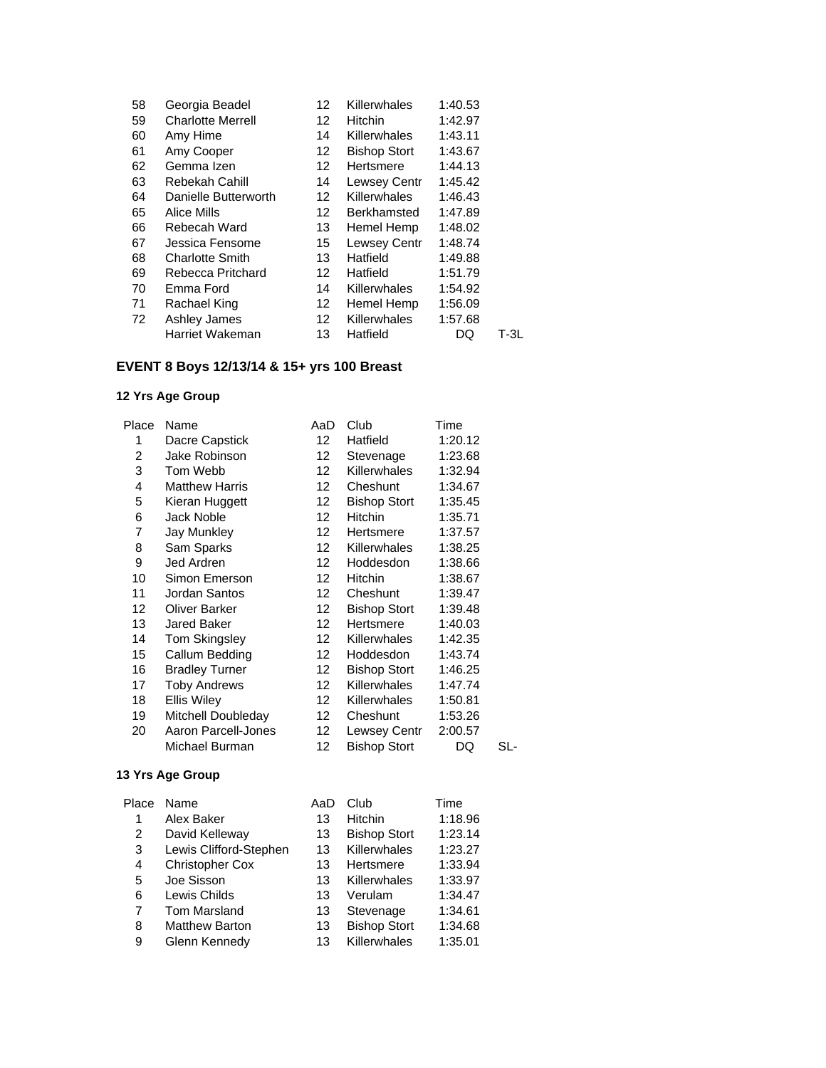| Georgia Beadel           | $12 \overline{ }$ | Killerwhales        | 1:40.53 |        |
|--------------------------|-------------------|---------------------|---------|--------|
| <b>Charlotte Merrell</b> | $12 \overline{ }$ | <b>Hitchin</b>      | 1:42.97 |        |
| Amy Hime                 | 14                | <b>Killerwhales</b> | 1:43.11 |        |
| Amy Cooper               | 12                | <b>Bishop Stort</b> | 1:43.67 |        |
| Gemma Izen               | 12 <sup>2</sup>   | Hertsmere           | 1:44.13 |        |
| Rebekah Cahill           | 14                | <b>Lewsey Centr</b> | 1:45.42 |        |
| Danielle Butterworth     | 12 <sup>2</sup>   | <b>Killerwhales</b> | 1:46.43 |        |
| Alice Mills              | 12 <sup>2</sup>   | <b>Berkhamsted</b>  | 1:47.89 |        |
| Rebecah Ward             | 13                | Hemel Hemp          | 1:48.02 |        |
| Jessica Fensome          | 15                | Lewsey Centr        | 1:48.74 |        |
| <b>Charlotte Smith</b>   | 13                | Hatfield            | 1:49.88 |        |
| Rebecca Pritchard        | 12                | Hatfield            | 1:51.79 |        |
| Emma Ford                | 14                | Killerwhales        | 1:54.92 |        |
| Rachael King             | 12                | Hemel Hemp          | 1:56.09 |        |
| Ashley James             | 12                | <b>Killerwhales</b> | 1:57.68 |        |
| Harriet Wakeman          | 13                | Hatfield            | DQ      | $T-3L$ |
|                          |                   |                     |         |        |

# **EVENT 8 Boys 12/13/14 & 15+ yrs 100 Breast**

# **12 Yrs Age Group**

| Place | Name                  | AaD              | Club                | Time    |     |
|-------|-----------------------|------------------|---------------------|---------|-----|
| 1     | Dacre Capstick        | 12               | Hatfield            | 1:20.12 |     |
| 2     | Jake Robinson         | 12               | Stevenage           | 1:23.68 |     |
| 3     | Tom Webb              | 12 <sup>12</sup> | Killerwhales        | 1:32.94 |     |
| 4     | <b>Matthew Harris</b> | 12 <sup>12</sup> | Cheshunt            | 1:34.67 |     |
| 5     | Kieran Huggett        | 12               | <b>Bishop Stort</b> | 1:35.45 |     |
| 6     | Jack Noble            | 12 <sup>2</sup>  | <b>Hitchin</b>      | 1:35.71 |     |
| 7     | Jay Munkley           | 12 <sup>12</sup> | Hertsmere           | 1:37.57 |     |
| 8     | Sam Sparks            | 12               | Killerwhales        | 1:38.25 |     |
| 9     | Jed Ardren            | 12 <sup>12</sup> | Hoddesdon           | 1:38.66 |     |
| 10    | Simon Emerson         | 12 <sup>12</sup> | Hitchin             | 1:38.67 |     |
| 11    | Jordan Santos         | 12.              | Cheshunt            | 1:39.47 |     |
| 12    | <b>Oliver Barker</b>  | 12 <sup>12</sup> | <b>Bishop Stort</b> | 1:39.48 |     |
| 13    | Jared Baker           | 12 <sup>1</sup>  | Hertsmere           | 1:40.03 |     |
| 14    | Tom Skingsley         | 12 <sup>12</sup> | Killerwhales        | 1:42.35 |     |
| 15    | Callum Bedding        | 12               | Hoddesdon           | 1:43.74 |     |
| 16    | <b>Bradley Turner</b> | 12               | <b>Bishop Stort</b> | 1:46.25 |     |
| 17    | <b>Toby Andrews</b>   | 12 <sup>12</sup> | Killerwhales        | 1:47.74 |     |
| 18    | <b>Ellis Wiley</b>    | 12               | Killerwhales        | 1:50.81 |     |
| 19    | Mitchell Doubleday    | 12               | Cheshunt            | 1:53.26 |     |
| 20    | Aaron Parcell-Jones   | 12               | Lewsey Centr        | 2:00.57 |     |
|       | Michael Burman        | 12               | <b>Bishop Stort</b> | DQ      | SL- |

| Place | Name                   | AaD | Club                | Time    |
|-------|------------------------|-----|---------------------|---------|
| 1     | Alex Baker             | 13  | Hitchin             | 1:18.96 |
| 2     | David Kelleway         | 13  | <b>Bishop Stort</b> | 1:23.14 |
| 3     | Lewis Clifford-Stephen | 13  | Killerwhales        | 1:23.27 |
| 4     | <b>Christopher Cox</b> | 13  | Hertsmere           | 1:33.94 |
| 5     | Joe Sisson             | 13  | Killerwhales        | 1:33.97 |
| 6     | Lewis Childs           | 13  | Verulam             | 1:34.47 |
| 7     | <b>Tom Marsland</b>    | 13  | Stevenage           | 1:34.61 |
| 8     | <b>Matthew Barton</b>  | 13  | <b>Bishop Stort</b> | 1:34.68 |
| 9     | Glenn Kennedy          | 13  | Killerwhales        | 1:35.01 |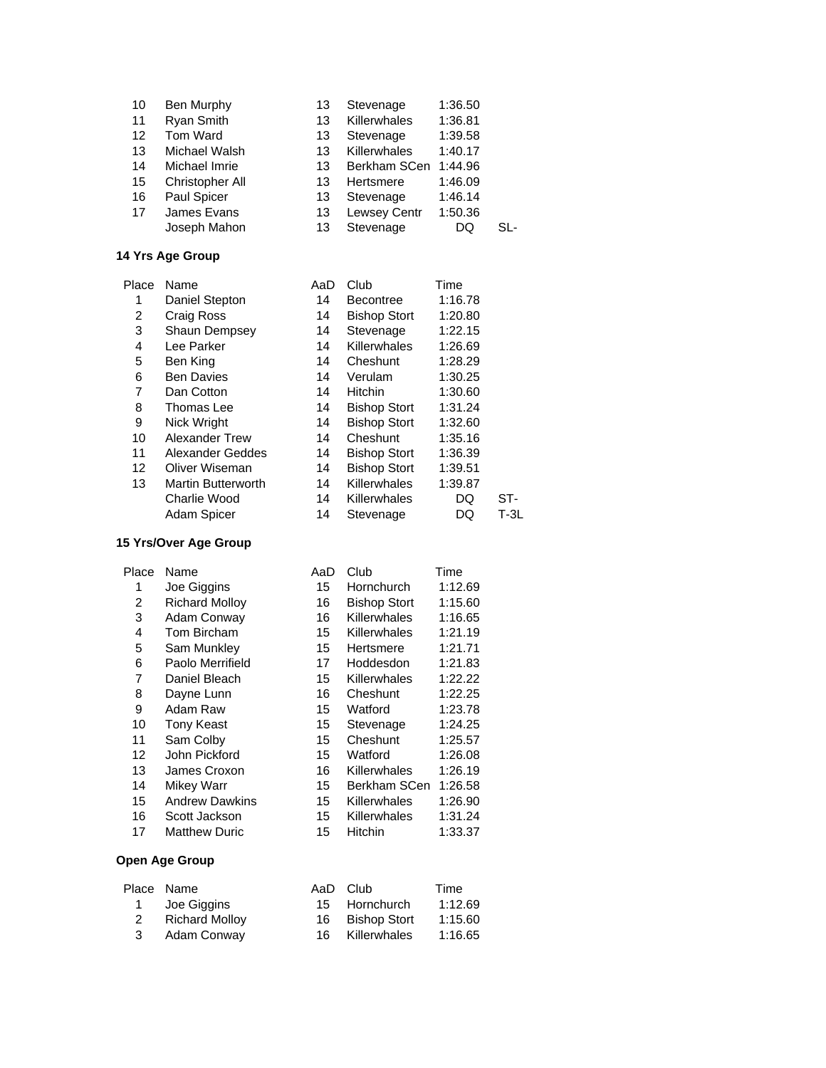| 10 | Ben Murphy      | 13 | Stevenage    | 1:36.50 |      |
|----|-----------------|----|--------------|---------|------|
| 11 | Ryan Smith      | 13 | Killerwhales | 1:36.81 |      |
| 12 | Tom Ward        | 13 | Stevenage    | 1:39.58 |      |
| 13 | Michael Walsh   | 13 | Killerwhales | 1:40.17 |      |
| 14 | Michael Imrie   | 13 | Berkham SCen | 1:44.96 |      |
| 15 | Christopher All | 13 | Hertsmere    | 1:46.09 |      |
| 16 | Paul Spicer     | 13 | Stevenage    | 1:46.14 |      |
| 17 | James Evans     | 13 | Lewsey Centr | 1:50.36 |      |
|    | Joseph Mahon    | 13 | Stevenage    | DQ      | S۱ - |
|    |                 |    |              |         |      |

| Name                  | AaD | Club                | Time    |      |
|-----------------------|-----|---------------------|---------|------|
| Daniel Stepton        | 14  | <b>Becontree</b>    | 1:16.78 |      |
| Craig Ross            | 14  | <b>Bishop Stort</b> | 1:20.80 |      |
| Shaun Dempsey         | 14  | Stevenage           | 1:22.15 |      |
| Lee Parker            | 14  | Killerwhales        | 1:26.69 |      |
| Ben King              | 14  | Cheshunt            | 1:28.29 |      |
| <b>Ben Davies</b>     | 14  | Verulam             | 1:30.25 |      |
| Dan Cotton            | 14  | Hitchin             | 1:30.60 |      |
| Thomas Lee            | 14  | <b>Bishop Stort</b> | 1:31.24 |      |
| Nick Wright           | 14  | <b>Bishop Stort</b> | 1:32.60 |      |
| <b>Alexander Trew</b> | 14  | Cheshunt            | 1:35.16 |      |
| Alexander Geddes      | 14  | <b>Bishop Stort</b> | 1:36.39 |      |
| Oliver Wiseman        | 14  | <b>Bishop Stort</b> | 1:39.51 |      |
| Martin Butterworth    | 14  | Killerwhales        | 1:39.87 |      |
| Charlie Wood          | 14  | Killerwhales        | DQ      | ST-  |
| Adam Spicer           | 14  | Stevenage           | DQ      | T-3L |
|                       |     |                     |         |      |

#### **15 Yrs/Over Age Group**

| Name                  | AaD | Club                | Time    |
|-----------------------|-----|---------------------|---------|
| Joe Giggins           | 15  | Hornchurch          | 1:12.69 |
| <b>Richard Mollov</b> | 16  | <b>Bishop Stort</b> | 1:15.60 |
| Adam Conway           | 16  | Killerwhales        | 1:16.65 |
| Tom Bircham           | 15  | Killerwhales        | 1:21.19 |
| Sam Munkley           | 15  | Hertsmere           | 1:21.71 |
| Paolo Merrifield      | 17  | Hoddesdon           | 1:21.83 |
| Daniel Bleach         | 15  | Killerwhales        | 1:22.22 |
| Dayne Lunn            | 16  | Cheshunt            | 1:22.25 |
| Adam Raw              | 15  | Watford             | 1:23.78 |
| <b>Tony Keast</b>     | 15  | Stevenage           | 1:24.25 |
| Sam Colby             | 15  | Cheshunt            | 1:25.57 |
| John Pickford         | 15  | Watford             | 1:26.08 |
| James Croxon          | 16  | Killerwhales        | 1:26.19 |
| Mikey Warr            | 15  | Berkham SCen        | 1:26.58 |
| <b>Andrew Dawkins</b> | 15  | Killerwhales        | 1:26.90 |
| Scott Jackson         | 15  | Killerwhales        | 1:31.24 |
| <b>Matthew Duric</b>  | 15  | Hitchin             | 1:33.37 |
|                       |     |                     |         |

|                         | Place Name            | AaD Club        | Time    |
|-------------------------|-----------------------|-----------------|---------|
|                         | 1 Joe Giggins         | 15 Hornchurch   | 1:12.69 |
| 2                       | <b>Richard Molloy</b> | 16 Bishop Stort | 1:15.60 |
| $\overline{\mathbf{3}}$ | Adam Conway           | 16 Killerwhales | 1:16.65 |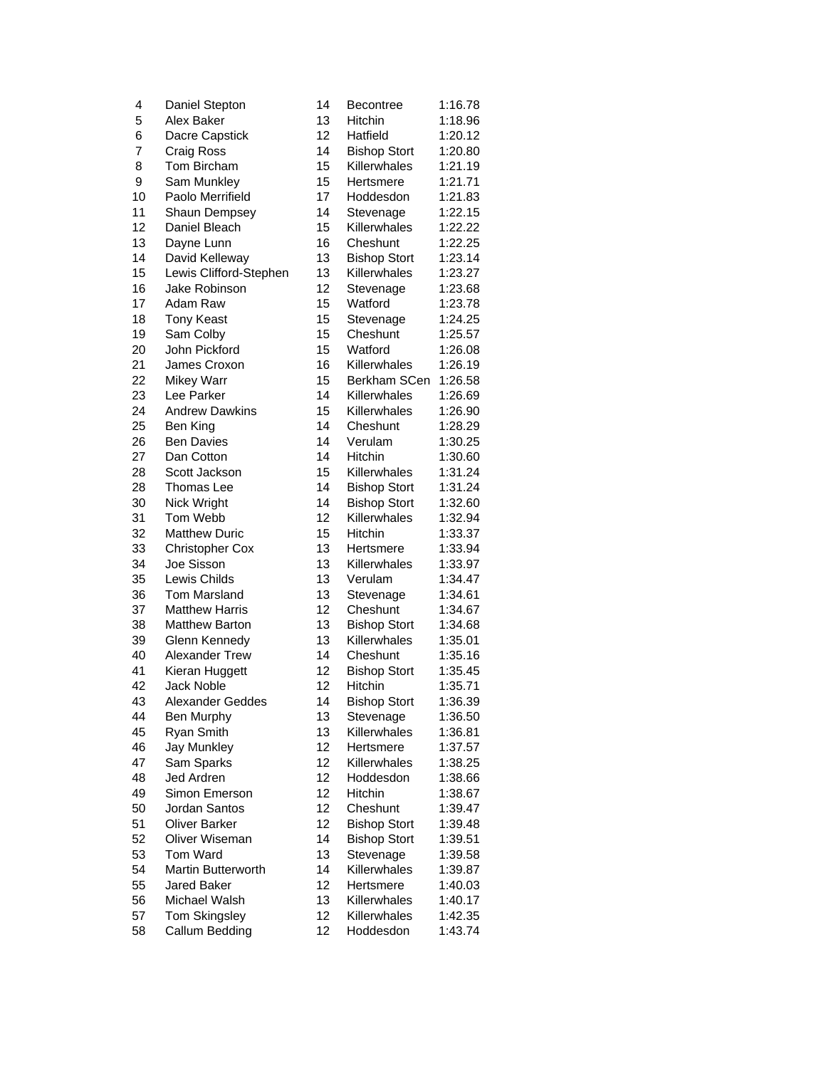| 4  | Daniel Stepton                 | 14       | Becontree           | 1:16.78 |
|----|--------------------------------|----------|---------------------|---------|
| 5  | Alex Baker                     | 13       | Hitchin             | 1:18.96 |
| 6  | Dacre Capstick                 | 12       | Hatfield            | 1:20.12 |
| 7  | Craig Ross                     | 14       | <b>Bishop Stort</b> | 1:20.80 |
| 8  | Tom Bircham                    | 15       | Killerwhales        | 1:21.19 |
| 9  | Sam Munkley                    | 15       | Hertsmere           | 1:21.71 |
| 10 | Paolo Merrifield               | 17       | Hoddesdon           | 1:21.83 |
| 11 | Shaun Dempsey                  | 14       | Stevenage           | 1:22.15 |
| 12 | Daniel Bleach                  | 15       | Killerwhales        | 1:22.22 |
| 13 | Dayne Lunn                     | 16       | Cheshunt            | 1:22.25 |
| 14 | David Kelleway                 | 13       | <b>Bishop Stort</b> | 1:23.14 |
| 15 | Lewis Clifford-Stephen         | 13       | Killerwhales        | 1:23.27 |
| 16 | Jake Robinson                  | 12       | Stevenage           | 1:23.68 |
| 17 | Adam Raw                       | 15       | Watford             | 1:23.78 |
| 18 | <b>Tony Keast</b>              | 15       | Stevenage           | 1:24.25 |
| 19 | Sam Colby                      | 15       | Cheshunt            | 1:25.57 |
| 20 | John Pickford                  | 15       | Watford             | 1:26.08 |
| 21 | James Croxon                   | 16       | Killerwhales        | 1:26.19 |
| 22 | <b>Mikey Warr</b>              | 15       | Berkham SCen        | 1:26.58 |
| 23 | Lee Parker                     | 14       | Killerwhales        | 1:26.69 |
| 24 | <b>Andrew Dawkins</b>          | 15       | Killerwhales        | 1:26.90 |
| 25 | Ben King                       | 14       | Cheshunt            | 1:28.29 |
| 26 | <b>Ben Davies</b>              | 14       | Verulam             | 1:30.25 |
| 27 | Dan Cotton                     | 14       | <b>Hitchin</b>      | 1:30.60 |
| 28 | Scott Jackson                  | 15       | Killerwhales        | 1:31.24 |
| 28 | Thomas Lee                     | 14       | <b>Bishop Stort</b> | 1:31.24 |
| 30 | Nick Wright                    | 14       | <b>Bishop Stort</b> | 1:32.60 |
| 31 | Tom Webb                       | 12       | Killerwhales        | 1:32.94 |
| 32 | <b>Matthew Duric</b>           | 15       | Hitchin             | 1:33.37 |
| 33 | Christopher Cox                | 13       | Hertsmere           | 1:33.94 |
| 34 | Joe Sisson                     | 13       | Killerwhales        | 1:33.97 |
| 35 | Lewis Childs                   | 13       | Verulam             | 1:34.47 |
| 36 | Tom Marsland                   | 13       | Stevenage           | 1:34.61 |
| 37 | <b>Matthew Harris</b>          | 12       | Cheshunt            | 1:34.67 |
| 38 | <b>Matthew Barton</b>          | 13       | <b>Bishop Stort</b> | 1:34.68 |
| 39 | Glenn Kennedy                  | 13       | Killerwhales        | 1:35.01 |
| 40 | Alexander Trew                 | 14       | Cheshunt            | 1:35.16 |
| 41 | Kieran Huggett                 | 12       | <b>Bishop Stort</b> | 1:35.45 |
| 42 | <b>Jack Noble</b>              | 12       | Hitchin             | 1:35.71 |
| 43 | Alexander Geddes               | 14       | <b>Bishop Stort</b> | 1:36.39 |
| 44 | Ben Murphy                     | 13       | Stevenage           | 1:36.50 |
| 45 | Ryan Smith                     | 13       | Killerwhales        | 1:36.81 |
| 46 |                                | 12       | Hertsmere           |         |
| 47 | Jay Munkley<br>Sam Sparks      | 12       | Killerwhales        | 1:37.57 |
| 48 | <b>Jed Ardren</b>              | 12       | Hoddesdon           | 1:38.25 |
| 49 | Simon Emerson                  | 12       | Hitchin             | 1:38.66 |
|    | Jordan Santos                  | 12       | Cheshunt            | 1:38.67 |
| 50 | <b>Oliver Barker</b>           |          |                     | 1:39.47 |
| 51 | Oliver Wiseman                 | 12<br>14 | <b>Bishop Stort</b> | 1:39.48 |
| 52 |                                |          | <b>Bishop Stort</b> | 1:39.51 |
| 53 | Tom Ward<br>Martin Butterworth | 13       | Stevenage           | 1:39.58 |
| 54 |                                | 14       | Killerwhales        | 1:39.87 |
| 55 | <b>Jared Baker</b>             | 12       | Hertsmere           | 1:40.03 |
| 56 | Michael Walsh                  | 13       | Killerwhales        | 1:40.17 |
| 57 | <b>Tom Skingsley</b>           | 12       | Killerwhales        | 1:42.35 |
| 58 | Callum Bedding                 | 12       | Hoddesdon           | 1:43.74 |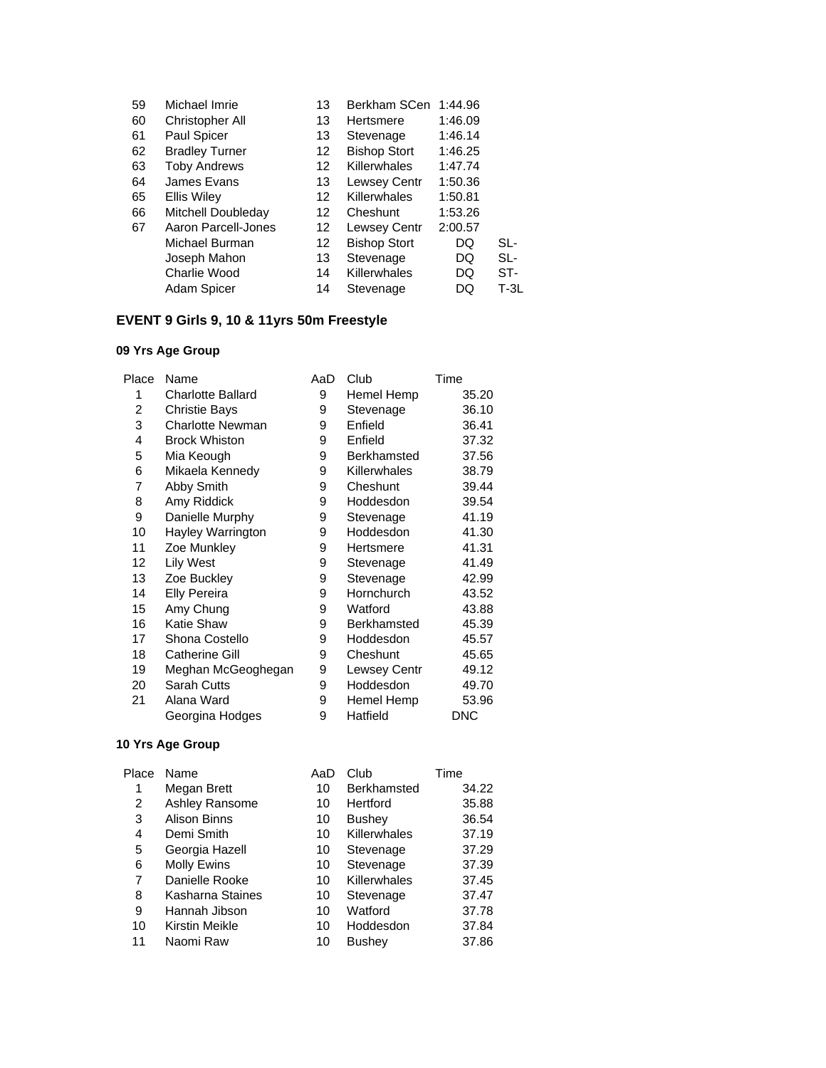| 59 | Michael Imrie         | 13 | Berkham SCen        | 1:44.96 |        |
|----|-----------------------|----|---------------------|---------|--------|
| 60 | Christopher All       | 13 | Hertsmere           | 1:46.09 |        |
| 61 | Paul Spicer           | 13 | Stevenage           | 1:46.14 |        |
| 62 | <b>Bradley Turner</b> | 12 | <b>Bishop Stort</b> | 1:46.25 |        |
| 63 | <b>Toby Andrews</b>   | 12 | <b>Killerwhales</b> | 1:47.74 |        |
| 64 | James Evans           | 13 | Lewsey Centr        | 1:50.36 |        |
| 65 | <b>Ellis Wiley</b>    | 12 | Killerwhales        | 1:50.81 |        |
| 66 | Mitchell Doubleday    | 12 | Cheshunt            | 1:53.26 |        |
| 67 | Aaron Parcell-Jones   | 12 | <b>Lewsey Centr</b> | 2:00.57 |        |
|    | Michael Burman        | 12 | <b>Bishop Stort</b> | DQ      | SL-    |
|    | Joseph Mahon          | 13 | Stevenage           | DQ      | SL-    |
|    | Charlie Wood          | 14 | Killerwhales        | DQ      | ST-    |
|    | Adam Spicer           | 14 | Stevenage           | DQ      | $T-3L$ |
|    |                       |    |                     |         |        |

## **EVENT 9 Girls 9, 10 & 11yrs 50m Freestyle**

### **09 Yrs Age Group**

| Place | Name                     | AaD | Club         | Time       |
|-------|--------------------------|-----|--------------|------------|
| 1     | <b>Charlotte Ballard</b> | 9   | Hemel Hemp   | 35.20      |
| 2     | <b>Christie Bays</b>     | 9   | Stevenage    | 36.10      |
| 3     | <b>Charlotte Newman</b>  | 9   | Enfield      | 36.41      |
| 4     | <b>Brock Whiston</b>     | 9   | Enfield      | 37.32      |
| 5     | Mia Keough               | 9   | Berkhamsted  | 37.56      |
| 6     | Mikaela Kennedy          | 9   | Killerwhales | 38.79      |
| 7     | Abby Smith               | 9   | Cheshunt     | 39.44      |
| 8     | Amy Riddick              | 9   | Hoddesdon    | 39.54      |
| 9     | Danielle Murphy          | 9   | Stevenage    | 41.19      |
| 10    | Hayley Warrington        | 9   | Hoddesdon    | 41.30      |
| 11    | Zoe Munkley              | 9   | Hertsmere    | 41.31      |
| 12    | <b>Lily West</b>         | 9   | Stevenage    | 41.49      |
| 13    | Zoe Buckley              | 9   | Stevenage    | 42.99      |
| 14    | <b>Elly Pereira</b>      | 9   | Hornchurch   | 43.52      |
| 15    | Amy Chung                | 9   | Watford      | 43.88      |
| 16    | <b>Katie Shaw</b>        | 9   | Berkhamsted  | 45.39      |
| 17    | Shona Costello           | 9   | Hoddesdon    | 45.57      |
| 18    | <b>Catherine Gill</b>    | 9   | Cheshunt     | 45.65      |
| 19    | Meghan McGeoghegan       | 9   | Lewsey Centr | 49.12      |
| 20    | <b>Sarah Cutts</b>       | 9   | Hoddesdon    | 49.70      |
| 21    | Alana Ward               | 9   | Hemel Hemp   | 53.96      |
|       | Georgina Hodges          | 9   | Hatfield     | <b>DNC</b> |

| Place | Name             | AaD | Club               | Time  |
|-------|------------------|-----|--------------------|-------|
| 1     | Megan Brett      | 10  | <b>Berkhamsted</b> | 34.22 |
| 2     | Ashley Ransome   | 10  | Hertford           | 35.88 |
| 3     | Alison Binns     | 10  | <b>Bushey</b>      | 36.54 |
| 4     | Demi Smith       | 10  | Killerwhales       | 37.19 |
| 5     | Georgia Hazell   | 10  | Stevenage          | 37.29 |
| 6     | Molly Ewins      | 10  | Stevenage          | 37.39 |
| 7     | Danielle Rooke   | 10  | Killerwhales       | 37.45 |
| 8     | Kasharna Staines | 10  | Stevenage          | 37.47 |
| 9     | Hannah Jibson    | 10  | Watford            | 37.78 |
| 10    | Kirstin Meikle   | 10  | Hoddesdon          | 37.84 |
| 11    | Naomi Raw        | 10  | <b>Bushey</b>      | 37.86 |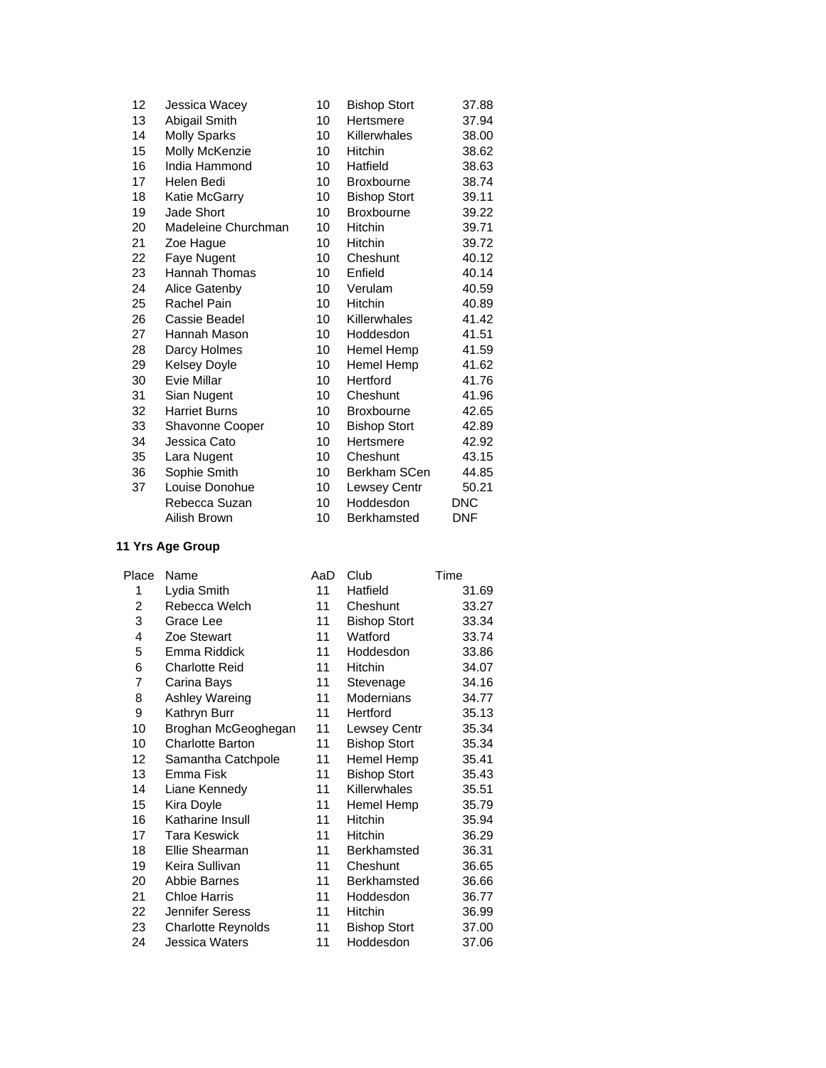| 12 | Jessica Wacey        | 10 | <b>Bishop Stort</b> | 37.88      |
|----|----------------------|----|---------------------|------------|
| 13 | Abigail Smith        | 10 | Hertsmere           | 37.94      |
| 14 | <b>Molly Sparks</b>  | 10 | Killerwhales        | 38.00      |
| 15 | Molly McKenzie       | 10 | <b>Hitchin</b>      | 38.62      |
| 16 | India Hammond        | 10 | Hatfield            | 38.63      |
| 17 | Helen Bedi           | 10 | <b>Broxbourne</b>   | 38.74      |
| 18 | Katie McGarry        | 10 | <b>Bishop Stort</b> | 39.11      |
| 19 | Jade Short           | 10 | <b>Broxbourne</b>   | 39.22      |
| 20 | Madeleine Churchman  | 10 | Hitchin             | 39.71      |
| 21 | Zoe Hague            | 10 | <b>Hitchin</b>      | 39.72      |
| 22 | Faye Nugent          | 10 | Cheshunt            | 40.12      |
| 23 | <b>Hannah Thomas</b> | 10 | Enfield             | 40.14      |
| 24 | Alice Gatenby        | 10 | Verulam             | 40.59      |
| 25 | Rachel Pain          | 10 | Hitchin             | 40.89      |
| 26 | Cassie Beadel        | 10 | Killerwhales        | 41.42      |
| 27 | Hannah Mason         | 10 | Hoddesdon           | 41.51      |
| 28 | Darcy Holmes         | 10 | Hemel Hemp          | 41.59      |
| 29 | <b>Kelsey Doyle</b>  | 10 | Hemel Hemp          | 41.62      |
| 30 | Evie Millar          | 10 | Hertford            | 41.76      |
| 31 | Sian Nugent          | 10 | Cheshunt            | 41.96      |
| 32 | <b>Harriet Burns</b> | 10 | <b>Broxbourne</b>   | 42.65      |
| 33 | Shavonne Cooper      | 10 | <b>Bishop Stort</b> | 42.89      |
| 34 | Jessica Cato         | 10 | Hertsmere           | 42.92      |
| 35 | Lara Nugent          | 10 | Cheshunt            | 43.15      |
| 36 | Sophie Smith         | 10 | Berkham SCen        | 44.85      |
| 37 | Louise Donohue       | 10 | Lewsey Centr        | 50.21      |
|    | Rebecca Suzan        | 10 | Hoddesdon           | DNC        |
|    | Ailish Brown         | 10 | <b>Berkhamsted</b>  | <b>DNF</b> |

| Place                   | Name                    | AaD | Club                | Time  |
|-------------------------|-------------------------|-----|---------------------|-------|
| 1                       | Lydia Smith             | 11  | Hatfield            | 31.69 |
| $\overline{\mathbf{c}}$ | Rebecca Welch           | 11  | Cheshunt            | 33.27 |
| 3                       | Grace Lee               | 11  | <b>Bishop Stort</b> | 33.34 |
| 4                       | Zoe Stewart             | 11  | Watford             | 33.74 |
| 5                       | Emma Riddick            | 11  | Hoddesdon           | 33.86 |
| 6                       | <b>Charlotte Reid</b>   | 11  | <b>Hitchin</b>      | 34.07 |
| 7                       | Carina Bays             | 11  | Stevenage           | 34.16 |
| 8                       | Ashley Wareing          | 11  | <b>Modernians</b>   | 34.77 |
| 9                       | Kathryn Burr            | 11  | Hertford            | 35.13 |
| 10                      | Broghan McGeoghegan     | 11  | Lewsey Centr        | 35.34 |
| 10                      | <b>Charlotte Barton</b> | 11  | <b>Bishop Stort</b> | 35.34 |
| 12                      | Samantha Catchpole      | 11  | Hemel Hemp          | 35.41 |
| 13                      | Emma Fisk               | 11  | <b>Bishop Stort</b> | 35.43 |
| 14                      | Liane Kennedy           | 11  | Killerwhales        | 35.51 |
| 15                      | Kira Doyle              | 11  | Hemel Hemp          | 35.79 |
| 16                      | Katharine Insull        | 11  | Hitchin             | 35.94 |
| 17                      | Tara Keswick            | 11  | <b>Hitchin</b>      | 36.29 |
| 18                      | Ellie Shearman          | 11  | Berkhamsted         | 36.31 |
| 19                      | Keira Sullivan          | 11  | Cheshunt            | 36.65 |
| 20                      | Abbie Barnes            | 11  | Berkhamsted         | 36.66 |
| 21                      | <b>Chloe Harris</b>     | 11  | Hoddesdon           | 36.77 |
| 22                      | Jennifer Seress         | 11  | <b>Hitchin</b>      | 36.99 |
| 23                      | Charlotte Reynolds      | 11  | <b>Bishop Stort</b> | 37.00 |
| 24                      | Jessica Waters          | 11  | Hoddesdon           | 37.06 |
|                         |                         |     |                     |       |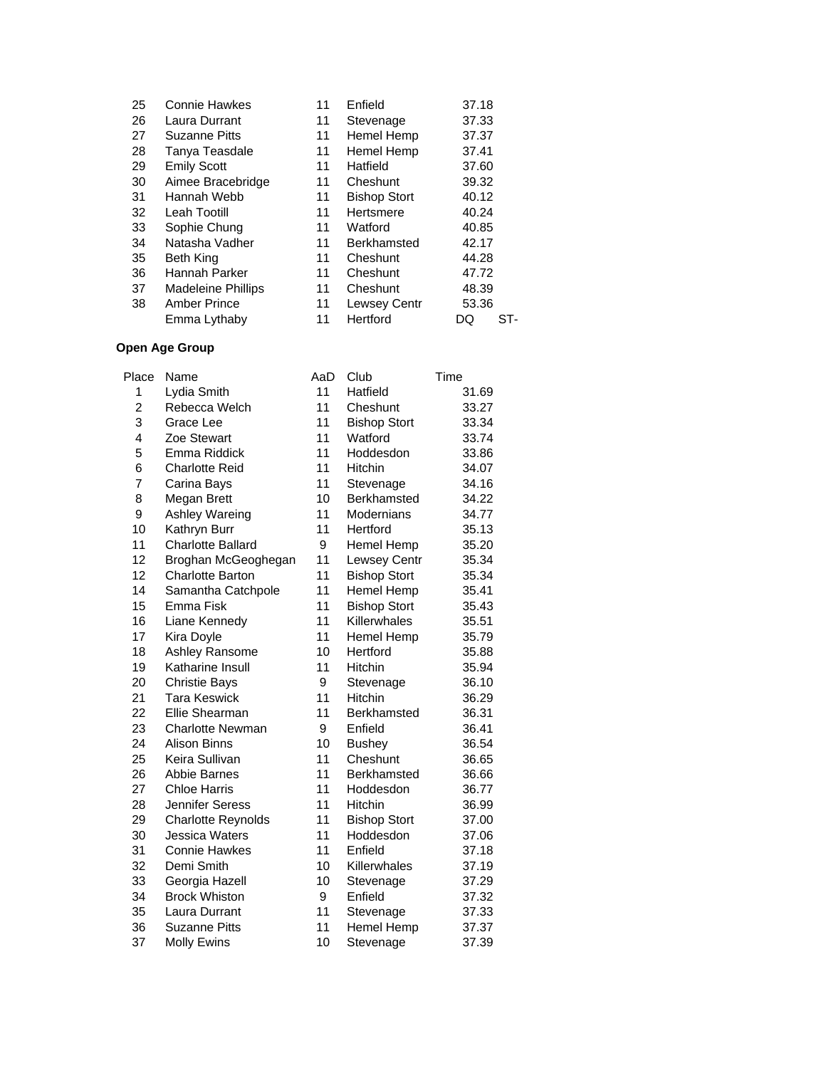| 25 | <b>Connie Hawkes</b>      | 11 | Enfield             | 37.18     |
|----|---------------------------|----|---------------------|-----------|
| 26 | Laura Durrant             | 11 | Stevenage           | 37.33     |
| 27 | <b>Suzanne Pitts</b>      | 11 | Hemel Hemp          | 37.37     |
| 28 | Tanya Teasdale            | 11 | Hemel Hemp          | 37.41     |
| 29 | <b>Emily Scott</b>        | 11 | Hatfield            | 37.60     |
| 30 | Aimee Bracebridge         | 11 | Cheshunt            | 39.32     |
| 31 | Hannah Webb               | 11 | <b>Bishop Stort</b> | 40.12     |
| 32 | Leah Tootill              | 11 | Hertsmere           | 40.24     |
| 33 | Sophie Chung              | 11 | Watford             | 40.85     |
| 34 | Natasha Vadher            | 11 | Berkhamsted         | 42.17     |
| 35 | <b>Beth King</b>          | 11 | Cheshunt            | 44.28     |
| 36 | Hannah Parker             | 11 | Cheshunt            | 47.72     |
| 37 | <b>Madeleine Phillips</b> | 11 | Cheshunt            | 48.39     |
| 38 | <b>Amber Prince</b>       | 11 | <b>Lewsey Centr</b> | 53.36     |
|    | Emma Lythaby              | 11 | Hertford            | ST-<br>DQ |
|    |                           |    |                     |           |

| Place          | Name                      | AaD | Club                | Time  |
|----------------|---------------------------|-----|---------------------|-------|
| 1              | Lydia Smith               | 11  | Hatfield            | 31.69 |
| $\overline{c}$ | Rebecca Welch             | 11  | Cheshunt            | 33.27 |
| 3              | Grace Lee                 | 11  | <b>Bishop Stort</b> | 33.34 |
| 4              | Zoe Stewart               | 11  | Watford             | 33.74 |
| 5              | Emma Riddick              | 11  | Hoddesdon           | 33.86 |
| 6              | <b>Charlotte Reid</b>     | 11  | Hitchin             | 34.07 |
| 7              | Carina Bays               | 11  | Stevenage           | 34.16 |
| 8              | Megan Brett               | 10  | Berkhamsted         | 34.22 |
| 9              | Ashley Wareing            | 11  | Modernians          | 34.77 |
| 10             | Kathryn Burr              | 11  | Hertford            | 35.13 |
| 11             | <b>Charlotte Ballard</b>  | 9   | Hemel Hemp          | 35.20 |
| 12             | Broghan McGeoghegan       | 11  | Lewsey Centr        | 35.34 |
| 12             | <b>Charlotte Barton</b>   | 11  | <b>Bishop Stort</b> | 35.34 |
| 14             | Samantha Catchpole        | 11  | Hemel Hemp          | 35.41 |
| 15             | Emma Fisk                 | 11  | <b>Bishop Stort</b> | 35.43 |
| 16             | Liane Kennedy             | 11  | Killerwhales        | 35.51 |
| 17             | Kira Doyle                | 11  | Hemel Hemp          | 35.79 |
| 18             | Ashley Ransome            | 10  | Hertford            | 35.88 |
| 19             | Katharine Insull          | 11  | Hitchin             | 35.94 |
| 20             | <b>Christie Bays</b>      | 9   | Stevenage           | 36.10 |
| 21             | <b>Tara Keswick</b>       | 11  | Hitchin             | 36.29 |
| 22             | Ellie Shearman            | 11  | Berkhamsted         | 36.31 |
| 23             | Charlotte Newman          | 9   | Enfield             | 36.41 |
| 24             | <b>Alison Binns</b>       | 10  | <b>Bushey</b>       | 36.54 |
| 25             | Keira Sullivan            | 11  | Cheshunt            | 36.65 |
| 26             | <b>Abbie Barnes</b>       | 11  | Berkhamsted         | 36.66 |
| 27             | <b>Chloe Harris</b>       | 11  | Hoddesdon           | 36.77 |
| 28             | Jennifer Seress           | 11  | Hitchin             | 36.99 |
| 29             | <b>Charlotte Reynolds</b> | 11  | <b>Bishop Stort</b> | 37.00 |
| 30             | Jessica Waters            | 11  | Hoddesdon           | 37.06 |
| 31             | <b>Connie Hawkes</b>      | 11  | Enfield             | 37.18 |
| 32             | Demi Smith                | 10  | Killerwhales        | 37.19 |
| 33             | Georgia Hazell            | 10  | Stevenage           | 37.29 |
| 34             | <b>Brock Whiston</b>      | 9   | Enfield             | 37.32 |
| 35             | Laura Durrant             | 11  | Stevenage           | 37.33 |
| 36             | <b>Suzanne Pitts</b>      | 11  | <b>Hemel Hemp</b>   | 37.37 |
| 37             | <b>Molly Ewins</b>        | 10  | Stevenage           | 37.39 |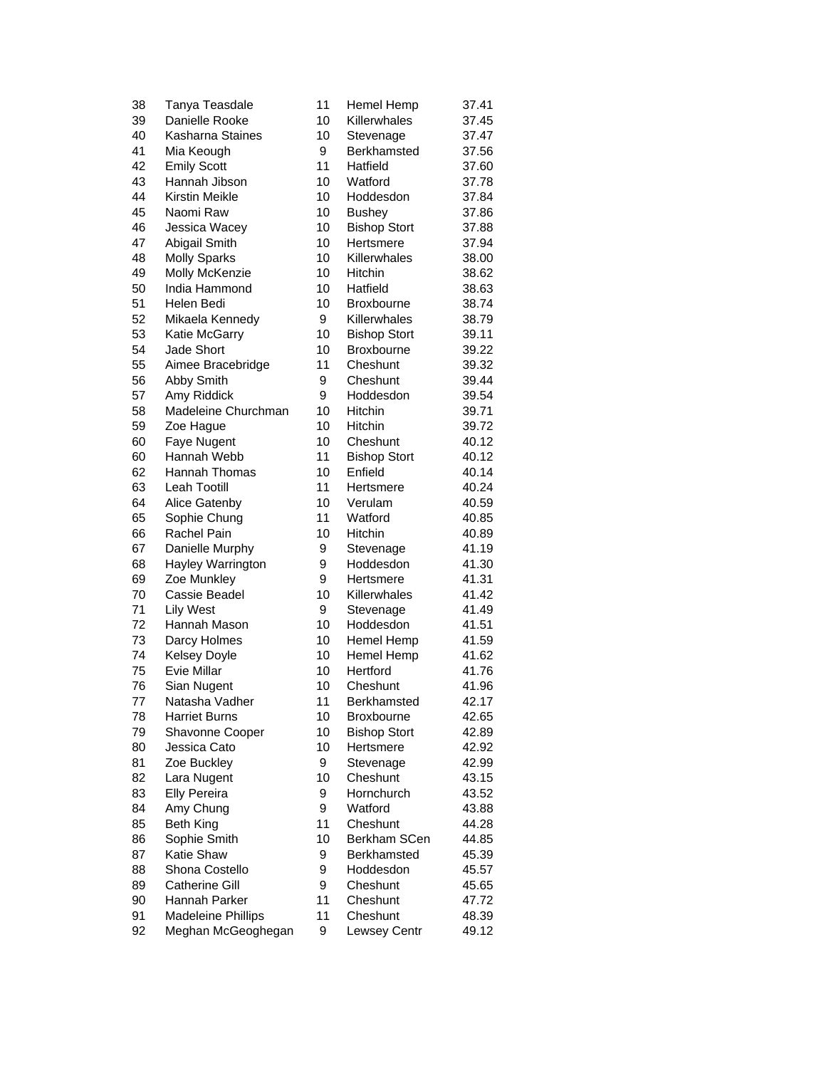| 38 | Tanya Teasdale        | 11 | Hemel Hemp          | 37.41 |
|----|-----------------------|----|---------------------|-------|
| 39 | Danielle Rooke        | 10 | Killerwhales        | 37.45 |
| 40 | Kasharna Staines      | 10 | Stevenage           | 37.47 |
| 41 | Mia Keough            | 9  | <b>Berkhamsted</b>  | 37.56 |
| 42 | <b>Emily Scott</b>    | 11 | Hatfield            | 37.60 |
| 43 | Hannah Jibson         | 10 | Watford             | 37.78 |
| 44 | <b>Kirstin Meikle</b> | 10 | Hoddesdon           | 37.84 |
| 45 | Naomi Raw             | 10 | <b>Bushey</b>       | 37.86 |
| 46 | Jessica Wacey         | 10 | <b>Bishop Stort</b> | 37.88 |
| 47 | Abigail Smith         | 10 | Hertsmere           | 37.94 |
| 48 | <b>Molly Sparks</b>   | 10 | Killerwhales        | 38.00 |
| 49 | Molly McKenzie        | 10 | Hitchin             | 38.62 |
| 50 | India Hammond         | 10 | Hatfield            | 38.63 |
| 51 | Helen Bedi            | 10 | <b>Broxbourne</b>   | 38.74 |
| 52 | Mikaela Kennedy       | 9  | Killerwhales        | 38.79 |
| 53 | Katie McGarry         | 10 | <b>Bishop Stort</b> | 39.11 |
| 54 | <b>Jade Short</b>     | 10 | Broxbourne          | 39.22 |
| 55 | Aimee Bracebridge     | 11 | Cheshunt            | 39.32 |
| 56 | Abby Smith            | 9  | Cheshunt            | 39.44 |
| 57 | Amy Riddick           | 9  | Hoddesdon           | 39.54 |
| 58 | Madeleine Churchman   | 10 | Hitchin             | 39.71 |
| 59 | Zoe Hague             | 10 | Hitchin             | 39.72 |
| 60 | Faye Nugent           | 10 | Cheshunt            | 40.12 |
| 60 | Hannah Webb           | 11 | <b>Bishop Stort</b> | 40.12 |
| 62 | <b>Hannah Thomas</b>  | 10 | Enfield             | 40.14 |
| 63 | <b>Leah Tootill</b>   | 11 | Hertsmere           | 40.24 |
| 64 | Alice Gatenby         | 10 | Verulam             | 40.59 |
| 65 | Sophie Chung          | 11 | Watford             | 40.85 |
| 66 | <b>Rachel Pain</b>    | 10 | Hitchin             | 40.89 |
| 67 | Danielle Murphy       | 9  | Stevenage           | 41.19 |
| 68 | Hayley Warrington     | 9  | Hoddesdon           | 41.30 |
| 69 | Zoe Munkley           | 9  | Hertsmere           | 41.31 |
| 70 | Cassie Beadel         | 10 | Killerwhales        | 41.42 |
| 71 | <b>Lily West</b>      | 9  | Stevenage           | 41.49 |
| 72 | Hannah Mason          | 10 | Hoddesdon           | 41.51 |
| 73 | Darcy Holmes          | 10 | Hemel Hemp          | 41.59 |
| 74 | <b>Kelsey Doyle</b>   | 10 | Hemel Hemp          | 41.62 |
| 75 | Evie Millar           | 10 | Hertford            | 41.76 |
| 76 | Sian Nugent           | 10 | Cheshunt            | 41.96 |
| 77 | Natasha Vadher        | 11 | Berkhamsted         | 42.17 |
| 78 | <b>Harriet Burns</b>  | 10 | <b>Broxbourne</b>   | 42.65 |
| 79 | Shavonne Cooper       | 10 | <b>Bishop Stort</b> | 42.89 |
| 80 | Jessica Cato          | 10 | Hertsmere           | 42.92 |
| 81 | Zoe Buckley           | 9  | Stevenage           | 42.99 |
| 82 | Lara Nugent           | 10 | Cheshunt            | 43.15 |
| 83 | <b>Elly Pereira</b>   | 9  | Hornchurch          | 43.52 |
| 84 | Amy Chung             | 9  | Watford             | 43.88 |
| 85 | Beth King             | 11 | Cheshunt            | 44.28 |
| 86 | Sophie Smith          | 10 | Berkham SCen        | 44.85 |
| 87 | Katie Shaw            | 9  | <b>Berkhamsted</b>  | 45.39 |
| 88 | Shona Costello        | 9  | Hoddesdon           | 45.57 |
| 89 | <b>Catherine Gill</b> | 9  | Cheshunt            | 45.65 |
| 90 | Hannah Parker         | 11 | Cheshunt            | 47.72 |
| 91 | Madeleine Phillips    | 11 | Cheshunt            | 48.39 |
| 92 | Meghan McGeoghegan    | 9  | Lewsey Centr        | 49.12 |
|    |                       |    |                     |       |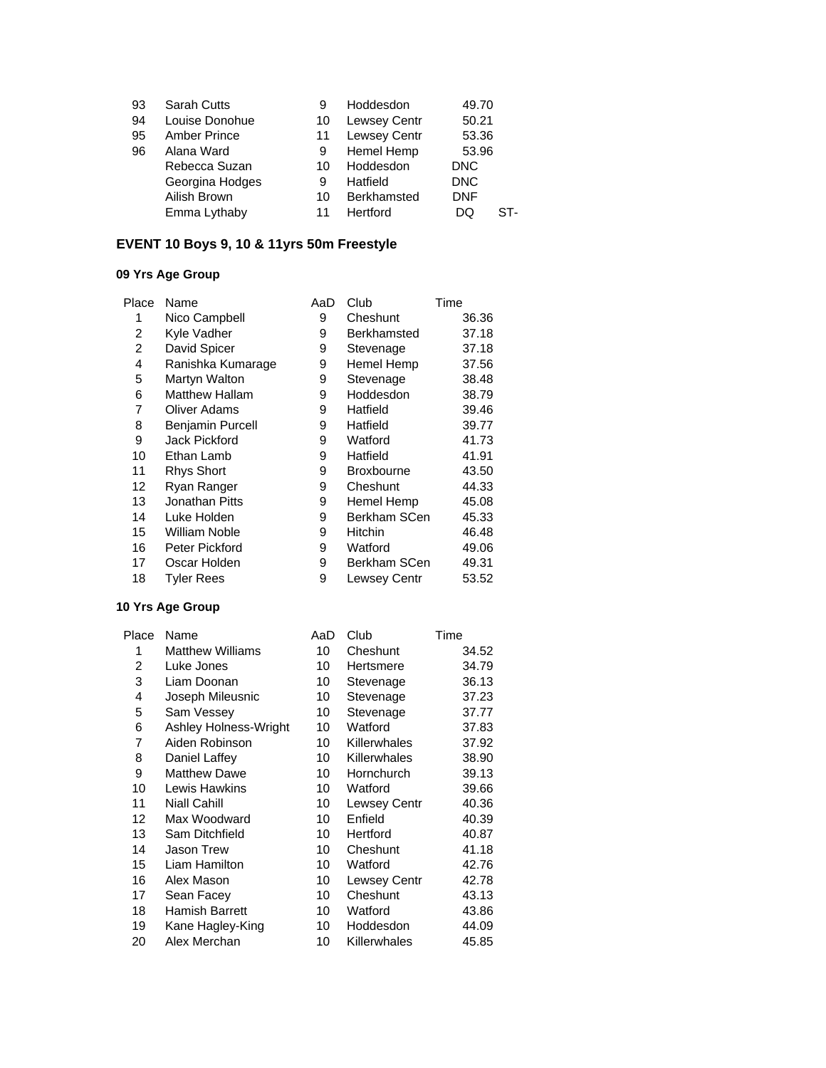| <b>Sarah Cutts</b>  | 9  | Hoddesdon           | 49.70      |     |
|---------------------|----|---------------------|------------|-----|
| Louise Donohue      | 10 | <b>Lewsey Centr</b> | 50.21      |     |
| <b>Amber Prince</b> | 11 | <b>Lewsey Centr</b> | 53.36      |     |
| Alana Ward          | 9  | Hemel Hemp          | 53.96      |     |
| Rebecca Suzan       | 10 | Hoddesdon           | <b>DNC</b> |     |
| Georgina Hodges     | 9  | Hatfield            | <b>DNC</b> |     |
| Ailish Brown        | 10 | <b>Berkhamsted</b>  | <b>DNF</b> |     |
| Emma Lythaby        | 11 | Hertford            | DO         | ST- |
|                     |    |                     |            |     |

# **EVENT 10 Boys 9, 10 & 11yrs 50m Freestyle**

## **09 Yrs Age Group**

| Place | Name                  | AaD | Club              | Time  |
|-------|-----------------------|-----|-------------------|-------|
| 1     | Nico Campbell         | 9   | Cheshunt          | 36.36 |
| 2     | Kyle Vadher           | 9   | Berkhamsted       | 37.18 |
| 2     | David Spicer          | 9   | Stevenage         | 37.18 |
| 4     | Ranishka Kumarage     | 9   | Hemel Hemp        | 37.56 |
| 5     | Martyn Walton         | 9   | Stevenage         | 38.48 |
| 6     | <b>Matthew Hallam</b> | 9   | Hoddesdon         | 38.79 |
| 7     | <b>Oliver Adams</b>   | 9   | Hatfield          | 39.46 |
| 8     | Benjamin Purcell      | 9   | Hatfield          | 39.77 |
| 9     | Jack Pickford         | 9   | Watford           | 41.73 |
| 10    | Ethan Lamb            | 9   | Hatfield          | 41.91 |
| 11    | <b>Rhys Short</b>     | 9   | <b>Broxbourne</b> | 43.50 |
| 12    | Ryan Ranger           | 9   | Cheshunt          | 44.33 |
| 13    | Jonathan Pitts        | 9   | Hemel Hemp        | 45.08 |
| 14    | Luke Holden           | 9   | Berkham SCen      | 45.33 |
| 15    | William Noble         | 9   | <b>Hitchin</b>    | 46.48 |
| 16    | Peter Pickford        | 9   | Watford           | 49.06 |
| 17    | Oscar Holden          | 9   | Berkham SCen      | 49.31 |
| 18    | Tyler Rees            | 9   | Lewsey Centr      | 53.52 |
|       |                       |     |                   |       |

| Place | Name                    | AaD | Club         | Time  |
|-------|-------------------------|-----|--------------|-------|
| 1     | <b>Matthew Williams</b> | 10  | Cheshunt     | 34.52 |
| 2     | Luke Jones              | 10  | Hertsmere    | 34.79 |
| 3     | Liam Doonan             | 10  | Stevenage    | 36.13 |
| 4     | Joseph Mileusnic        | 10  | Stevenage    | 37.23 |
| 5     | Sam Vessey              | 10  | Stevenage    | 37.77 |
| 6     | Ashley Holness-Wright   | 10  | Watford      | 37.83 |
| 7     | Aiden Robinson          | 10  | Killerwhales | 37.92 |
| 8     | Daniel Laffey           | 10  | Killerwhales | 38.90 |
| 9     | <b>Matthew Dawe</b>     | 10  | Hornchurch   | 39.13 |
| 10    | Lewis Hawkins           | 10  | Watford      | 39.66 |
| 11    | <b>Niall Cahill</b>     | 10  | Lewsey Centr | 40.36 |
| 12    | Max Woodward            | 10  | Enfield      | 40.39 |
| 13    | Sam Ditchfield          | 10  | Hertford     | 40.87 |
| 14    | <b>Jason Trew</b>       | 10  | Cheshunt     | 41.18 |
| 15    | Liam Hamilton           | 10  | Watford      | 42.76 |
| 16    | Alex Mason              | 10  | Lewsey Centr | 42.78 |
| 17    | Sean Facey              | 10  | Cheshunt     | 43.13 |
| 18    | Hamish Barrett          | 10  | Watford      | 43.86 |
| 19    | Kane Hagley-King        | 10  | Hoddesdon    | 44.09 |
| 20    | Alex Merchan            | 10  | Killerwhales | 45.85 |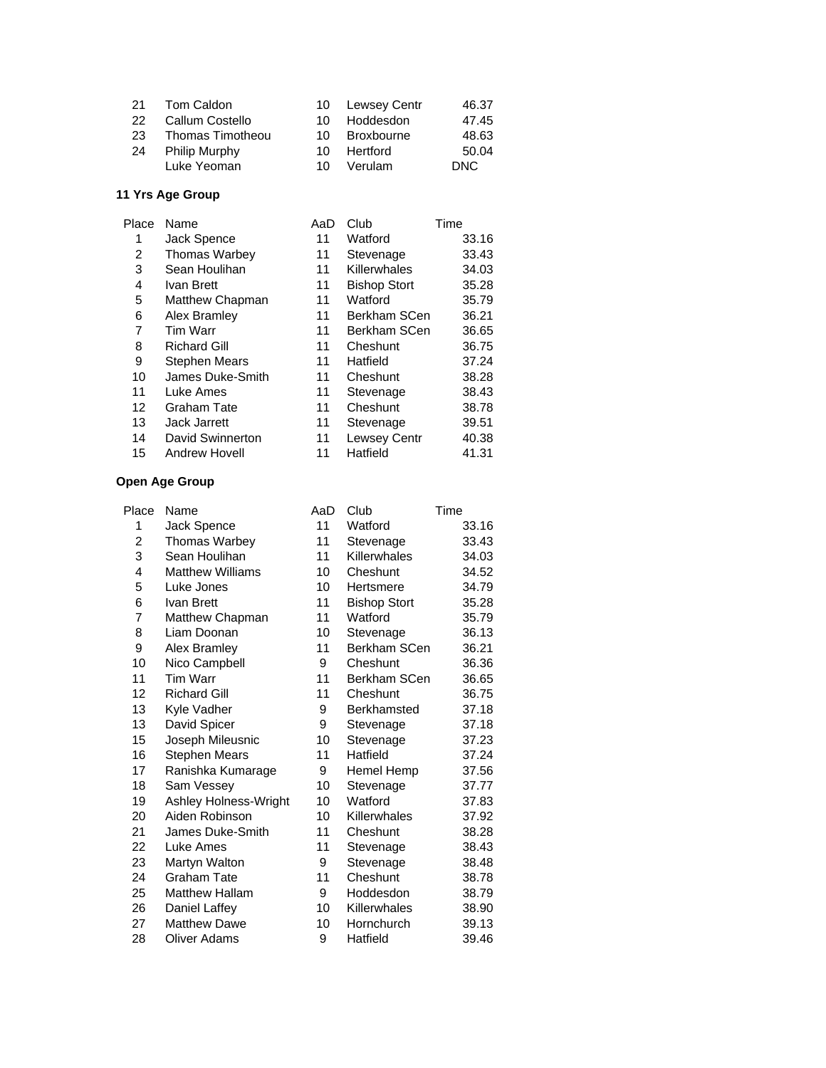| 21  | Tom Caldon           |     | 10 Lewsey Centr | 46.37 |
|-----|----------------------|-----|-----------------|-------|
| 22  | Callum Costello      | 10. | Hoddesdon       | 47.45 |
| 23. | Thomas Timotheou     | 10. | Broxbourne      | 48.63 |
| 24  | <b>Philip Murphy</b> | 10. | Hertford        | 50.04 |
|     | Luke Yeoman          | 10. | Verulam         | DNC.  |

| Place | Name                 | AaD | Club                | Time  |
|-------|----------------------|-----|---------------------|-------|
| 1     | Jack Spence          | 11  | Watford             | 33.16 |
| 2     | <b>Thomas Warbey</b> | 11  | Stevenage           | 33.43 |
| 3     | Sean Houlihan        | 11  | Killerwhales        | 34.03 |
| 4     | Ivan Brett           | 11  | <b>Bishop Stort</b> | 35.28 |
| 5     | Matthew Chapman      | 11  | Watford             | 35.79 |
| 6     | Alex Bramley         | 11  | Berkham SCen        | 36.21 |
| 7     | <b>Tim Warr</b>      | 11  | Berkham SCen        | 36.65 |
| 8     | <b>Richard Gill</b>  | 11  | Cheshunt            | 36.75 |
| 9     | <b>Stephen Mears</b> | 11  | Hatfield            | 37.24 |
| 10    | James Duke-Smith     | 11  | Cheshunt            | 38.28 |
| 11    | Luke Ames            | 11  | Stevenage           | 38.43 |
| 12    | <b>Graham Tate</b>   | 11  | Cheshunt            | 38.78 |
| 13    | <b>Jack Jarrett</b>  | 11  | Stevenage           | 39.51 |
| 14    | David Swinnerton     | 11  | <b>Lewsey Centr</b> | 40.38 |
| 15    | <b>Andrew Hovell</b> | 11  | Hatfield            | 41.31 |
|       |                      |     |                     |       |

| Place          | Name                    | AaD | Club                | Time  |
|----------------|-------------------------|-----|---------------------|-------|
| 1              | Jack Spence             | 11  | Watford             | 33.16 |
| $\overline{c}$ | Thomas Warbey           | 11  | Stevenage           | 33.43 |
| 3              | Sean Houlihan           | 11  | Killerwhales        | 34.03 |
| 4              | <b>Matthew Williams</b> | 10  | Cheshunt            | 34.52 |
| 5              | Luke Jones              | 10  | Hertsmere           | 34.79 |
| 6              | Ivan Brett              | 11  | <b>Bishop Stort</b> | 35.28 |
| 7              | Matthew Chapman         | 11  | Watford             | 35.79 |
| 8              | Liam Doonan             | 10  | Stevenage           | 36.13 |
| 9              | Alex Bramley            | 11  | Berkham SCen        | 36.21 |
| 10             | Nico Campbell           | 9   | Cheshunt            | 36.36 |
| 11             | <b>Tim Warr</b>         | 11  | Berkham SCen        | 36.65 |
| 12             | <b>Richard Gill</b>     | 11  | Cheshunt            | 36.75 |
| 13             | Kyle Vadher             | 9   | Berkhamsted         | 37.18 |
| 13             | David Spicer            | 9   | Stevenage           | 37.18 |
| 15             | Joseph Mileusnic        | 10  | Stevenage           | 37.23 |
| 16             | Stephen Mears           | 11  | Hatfield            | 37.24 |
| 17             | Ranishka Kumarage       | 9   | Hemel Hemp          | 37.56 |
| 18             | Sam Vessey              | 10  | Stevenage           | 37.77 |
| 19             | Ashley Holness-Wright   | 10  | Watford             | 37.83 |
| 20             | Aiden Robinson          | 10  | Killerwhales        | 37.92 |
| 21             | James Duke-Smith        | 11  | Cheshunt            | 38.28 |
| 22             | Luke Ames               | 11  | Stevenage           | 38.43 |
| 23             | Martyn Walton           | 9   | Stevenage           | 38.48 |
| 24             | <b>Graham Tate</b>      | 11  | Cheshunt            | 38.78 |
| 25             | <b>Matthew Hallam</b>   | 9   | Hoddesdon           | 38.79 |
| 26             | Daniel Laffey           | 10  | Killerwhales        | 38.90 |
| 27             | <b>Matthew Dawe</b>     | 10  | Hornchurch          | 39.13 |
| 28             | <b>Oliver Adams</b>     | 9   | Hatfield            | 39.46 |